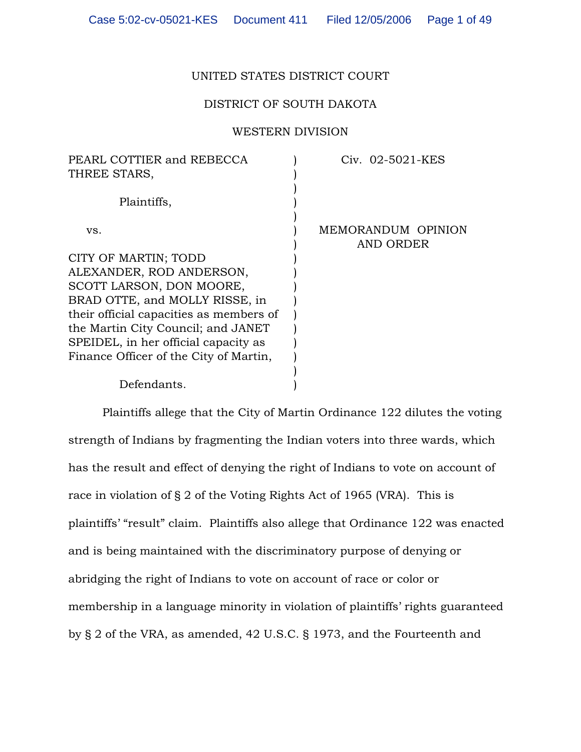# UNITED STATES DISTRICT COURT

# DISTRICT OF SOUTH DAKOTA

## WESTERN DIVISION

| Civ. 02-5021-KES   |
|--------------------|
|                    |
|                    |
|                    |
|                    |
| MEMORANDUM OPINION |
| AND ORDER          |
|                    |
|                    |
|                    |
|                    |
|                    |
|                    |
|                    |
|                    |
|                    |
|                    |
|                    |

Plaintiffs allege that the City of Martin Ordinance 122 dilutes the voting strength of Indians by fragmenting the Indian voters into three wards, which has the result and effect of denying the right of Indians to vote on account of race in violation of § 2 of the Voting Rights Act of 1965 (VRA). This is plaintiffs' "result" claim. Plaintiffs also allege that Ordinance 122 was enacted and is being maintained with the discriminatory purpose of denying or abridging the right of Indians to vote on account of race or color or membership in a language minority in violation of plaintiffs' rights guaranteed by § 2 of the VRA, as amended, 42 U.S.C. § 1973, and the Fourteenth and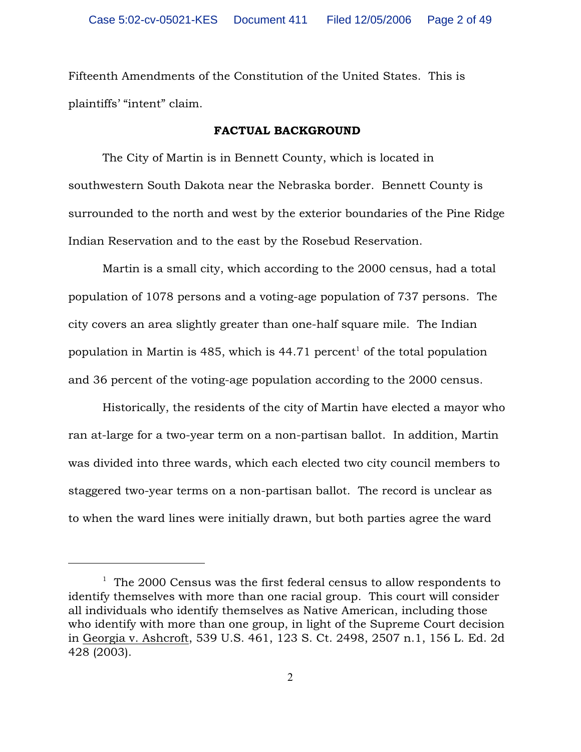Fifteenth Amendments of the Constitution of the United States. This is plaintiffs' "intent" claim.

#### FACTUAL BACKGROUND

The City of Martin is in Bennett County, which is located in southwestern South Dakota near the Nebraska border. Bennett County is surrounded to the north and west by the exterior boundaries of the Pine Ridge Indian Reservation and to the east by the Rosebud Reservation.

Martin is a small city, which according to the 2000 census, had a total population of 1078 persons and a voting-age population of 737 persons. The city covers an area slightly greater than one-half square mile. The Indian population in Martin is 485, which is 44.71 percent<sup>1</sup> of the total population and 36 percent of the voting-age population according to the 2000 census.

Historically, the residents of the city of Martin have elected a mayor who ran at-large for a two-year term on a non-partisan ballot. In addition, Martin was divided into three wards, which each elected two city council members to staggered two-year terms on a non-partisan ballot. The record is unclear as to when the ward lines were initially drawn, but both parties agree the ward

 $1$  The 2000 Census was the first federal census to allow respondents to identify themselves with more than one racial group. This court will consider all individuals who identify themselves as Native American, including those who identify with more than one group, in light of the Supreme Court decision in Georgia v. Ashcroft, 539 U.S. 461, 123 S. Ct. 2498, 2507 n.1, 156 L. Ed. 2d 428 (2003).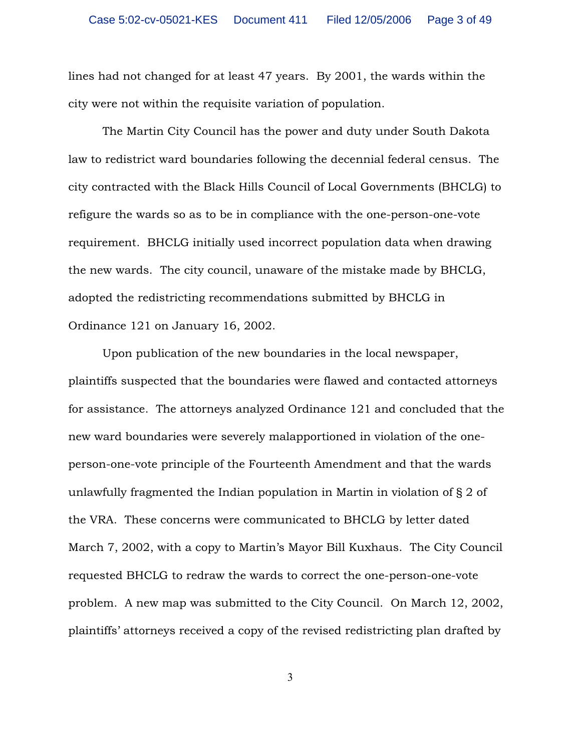lines had not changed for at least 47 years. By 2001, the wards within the city were not within the requisite variation of population.

The Martin City Council has the power and duty under South Dakota law to redistrict ward boundaries following the decennial federal census. The city contracted with the Black Hills Council of Local Governments (BHCLG) to refigure the wards so as to be in compliance with the one-person-one-vote requirement. BHCLG initially used incorrect population data when drawing the new wards. The city council, unaware of the mistake made by BHCLG, adopted the redistricting recommendations submitted by BHCLG in Ordinance 121 on January 16, 2002.

 Upon publication of the new boundaries in the local newspaper, plaintiffs suspected that the boundaries were flawed and contacted attorneys for assistance. The attorneys analyzed Ordinance 121 and concluded that the new ward boundaries were severely malapportioned in violation of the oneperson-one-vote principle of the Fourteenth Amendment and that the wards unlawfully fragmented the Indian population in Martin in violation of § 2 of the VRA. These concerns were communicated to BHCLG by letter dated March 7, 2002, with a copy to Martin's Mayor Bill Kuxhaus. The City Council requested BHCLG to redraw the wards to correct the one-person-one-vote problem. A new map was submitted to the City Council. On March 12, 2002, plaintiffs' attorneys received a copy of the revised redistricting plan drafted by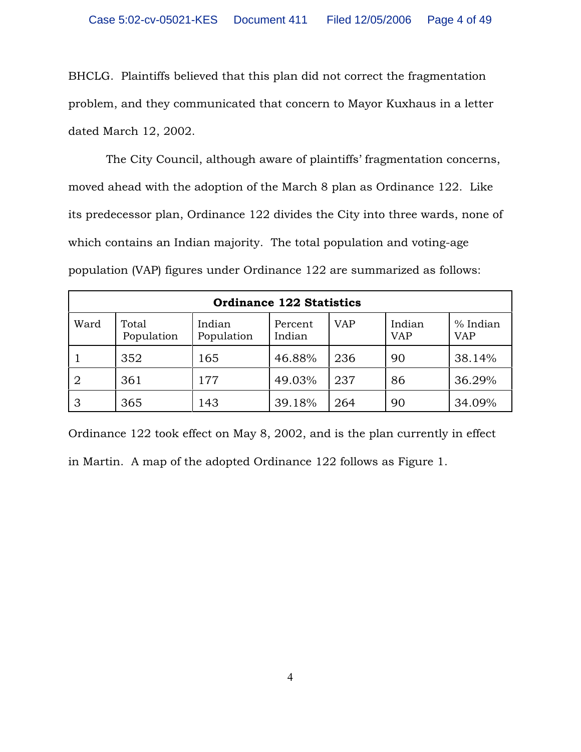BHCLG. Plaintiffs believed that this plan did not correct the fragmentation problem, and they communicated that concern to Mayor Kuxhaus in a letter dated March 12, 2002.

 The City Council, although aware of plaintiffs' fragmentation concerns, moved ahead with the adoption of the March 8 plan as Ordinance 122. Like its predecessor plan, Ordinance 122 divides the City into three wards, none of which contains an Indian majority. The total population and voting-age population (VAP) figures under Ordinance 122 are summarized as follows:

| <b>Ordinance 122 Statistics</b> |                     |                      |                   |            |                      |                        |  |
|---------------------------------|---------------------|----------------------|-------------------|------------|----------------------|------------------------|--|
| Ward                            | Total<br>Population | Indian<br>Population | Percent<br>Indian | <b>VAP</b> | Indian<br><b>VAP</b> | % Indian<br><b>VAP</b> |  |
|                                 | 352                 | 165                  | 46.88%            | 236        | 90                   | 38.14%                 |  |
| $\overline{2}$                  | 361                 | 177                  | 49.03%            | 237        | 86                   | 36.29%                 |  |
| 3                               | 365                 | 143                  | 39.18%            | 264        | 90                   | 34.09%                 |  |

Ordinance 122 took effect on May 8, 2002, and is the plan currently in effect in Martin. A map of the adopted Ordinance 122 follows as Figure 1.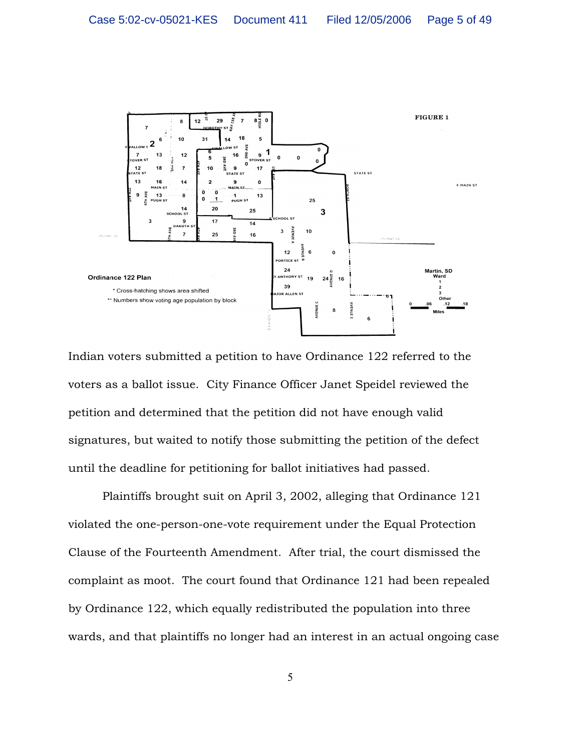

Indian voters submitted a petition to have Ordinance 122 referred to the voters as a ballot issue. City Finance Officer Janet Speidel reviewed the petition and determined that the petition did not have enough valid signatures, but waited to notify those submitting the petition of the defect until the deadline for petitioning for ballot initiatives had passed.

Plaintiffs brought suit on April 3, 2002, alleging that Ordinance 121 violated the one-person-one-vote requirement under the Equal Protection Clause of the Fourteenth Amendment. After trial, the court dismissed the complaint as moot. The court found that Ordinance 121 had been repealed by Ordinance 122, which equally redistributed the population into three wards, and that plaintiffs no longer had an interest in an actual ongoing case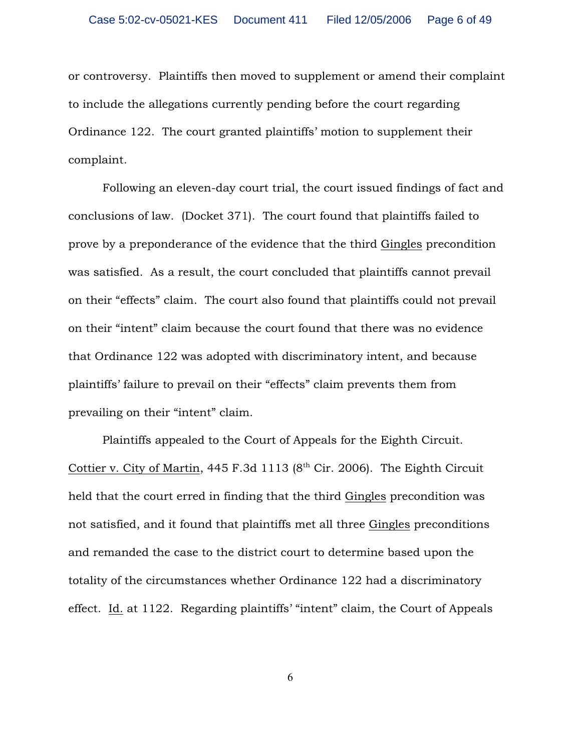or controversy. Plaintiffs then moved to supplement or amend their complaint to include the allegations currently pending before the court regarding Ordinance 122. The court granted plaintiffs' motion to supplement their complaint.

Following an eleven-day court trial, the court issued findings of fact and conclusions of law. (Docket 371). The court found that plaintiffs failed to prove by a preponderance of the evidence that the third Gingles precondition was satisfied. As a result, the court concluded that plaintiffs cannot prevail on their "effects" claim. The court also found that plaintiffs could not prevail on their "intent" claim because the court found that there was no evidence that Ordinance 122 was adopted with discriminatory intent, and because plaintiffs' failure to prevail on their "effects" claim prevents them from prevailing on their "intent" claim.

Plaintiffs appealed to the Court of Appeals for the Eighth Circuit. Cottier v. City of Martin, 445 F.3d 1113 ( $8<sup>th</sup>$  Cir. 2006). The Eighth Circuit held that the court erred in finding that the third Gingles precondition was not satisfied, and it found that plaintiffs met all three Gingles preconditions and remanded the case to the district court to determine based upon the totality of the circumstances whether Ordinance 122 had a discriminatory effect. Id. at 1122. Regarding plaintiffs' "intent" claim, the Court of Appeals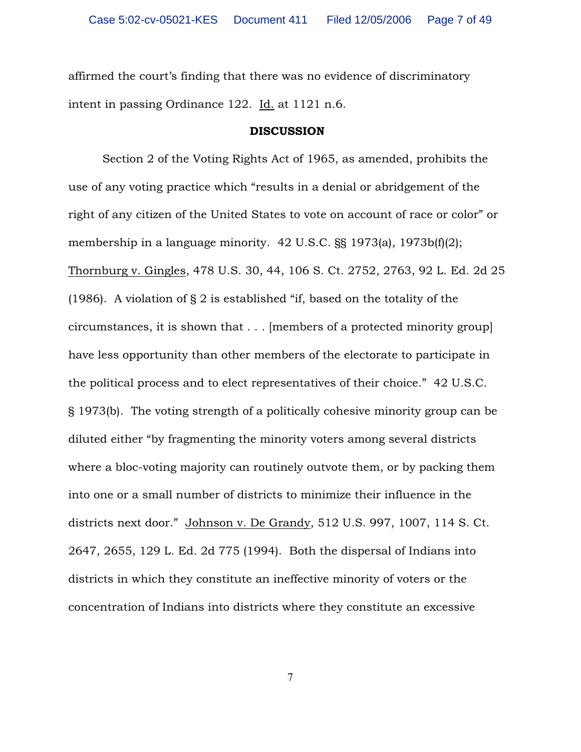affirmed the court's finding that there was no evidence of discriminatory intent in passing Ordinance 122. Id. at 1121 n.6.

#### DISCUSSION

Section 2 of the Voting Rights Act of 1965, as amended, prohibits the use of any voting practice which "results in a denial or abridgement of the right of any citizen of the United States to vote on account of race or color" or membership in a language minority. 42 U.S.C. §§ 1973(a), 1973b(f)(2); Thornburg v. Gingles, 478 U.S. 30, 44, 106 S. Ct. 2752, 2763, 92 L. Ed. 2d 25 (1986). A violation of § 2 is established "if, based on the totality of the circumstances, it is shown that . . . [members of a protected minority group] have less opportunity than other members of the electorate to participate in the political process and to elect representatives of their choice." 42 U.S.C. § 1973(b). The voting strength of a politically cohesive minority group can be diluted either "by fragmenting the minority voters among several districts where a bloc-voting majority can routinely outvote them, or by packing them into one or a small number of districts to minimize their influence in the districts next door." Johnson v. De Grandy, 512 U.S. 997, 1007, 114 S. Ct. 2647, 2655, 129 L. Ed. 2d 775 (1994). Both the dispersal of Indians into districts in which they constitute an ineffective minority of voters or the concentration of Indians into districts where they constitute an excessive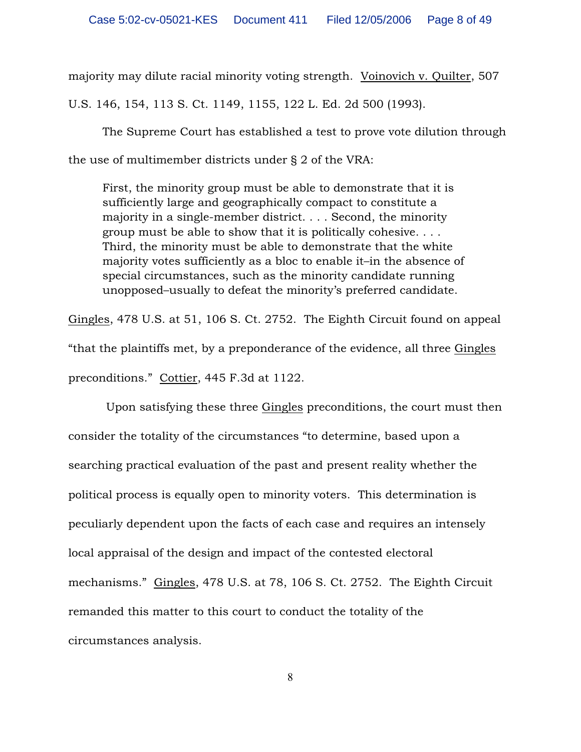majority may dilute racial minority voting strength. Voinovich v. Quilter, 507 U.S. 146, 154, 113 S. Ct. 1149, 1155, 122 L. Ed. 2d 500 (1993).

The Supreme Court has established a test to prove vote dilution through the use of multimember districts under § 2 of the VRA:

First, the minority group must be able to demonstrate that it is sufficiently large and geographically compact to constitute a majority in a single-member district. . . . Second, the minority group must be able to show that it is politically cohesive. . . . Third, the minority must be able to demonstrate that the white majority votes sufficiently as a bloc to enable it–in the absence of special circumstances, such as the minority candidate running unopposed–usually to defeat the minority's preferred candidate.

Gingles, 478 U.S. at 51, 106 S. Ct. 2752. The Eighth Circuit found on appeal "that the plaintiffs met, by a preponderance of the evidence, all three Gingles preconditions." Cottier, 445 F.3d at 1122.

 Upon satisfying these three Gingles preconditions, the court must then consider the totality of the circumstances "to determine, based upon a searching practical evaluation of the past and present reality whether the political process is equally open to minority voters. This determination is peculiarly dependent upon the facts of each case and requires an intensely local appraisal of the design and impact of the contested electoral mechanisms." Gingles, 478 U.S. at 78, 106 S. Ct. 2752. The Eighth Circuit remanded this matter to this court to conduct the totality of the circumstances analysis.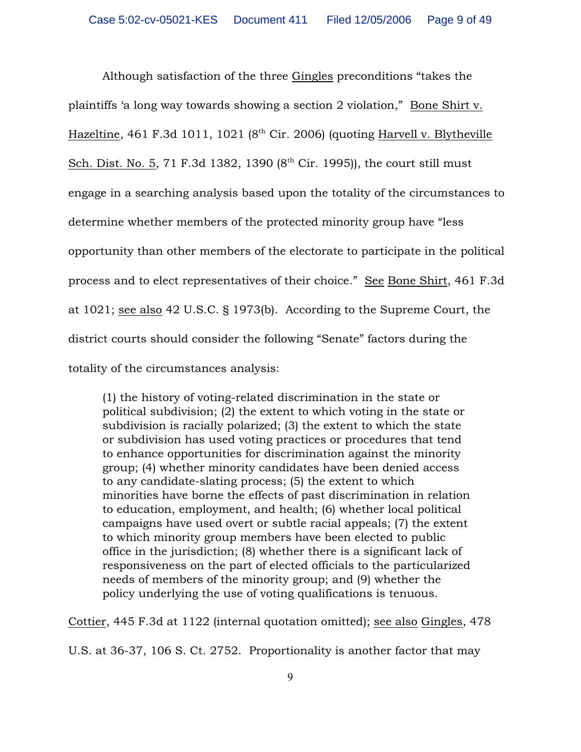Although satisfaction of the three Gingles preconditions "takes the plaintiffs 'a long way towards showing a section 2 violation," Bone Shirt v. Hazeltine, 461 F.3d 1011, 1021 ( $8<sup>th</sup>$  Cir. 2006) (quoting Harvell v. Blytheville Sch. Dist. No. 5, 71 F.3d 1382, 1390  $(8^{th}$  Cir. 1995)), the court still must engage in a searching analysis based upon the totality of the circumstances to determine whether members of the protected minority group have "less opportunity than other members of the electorate to participate in the political process and to elect representatives of their choice." See Bone Shirt, 461 F.3d at 1021; see also 42 U.S.C. § 1973(b). According to the Supreme Court, the district courts should consider the following "Senate" factors during the totality of the circumstances analysis:

(1) the history of voting-related discrimination in the state or political subdivision; (2) the extent to which voting in the state or subdivision is racially polarized; (3) the extent to which the state or subdivision has used voting practices or procedures that tend to enhance opportunities for discrimination against the minority group; (4) whether minority candidates have been denied access to any candidate-slating process; (5) the extent to which minorities have borne the effects of past discrimination in relation to education, employment, and health; (6) whether local political campaigns have used overt or subtle racial appeals; (7) the extent to which minority group members have been elected to public office in the jurisdiction; (8) whether there is a significant lack of responsiveness on the part of elected officials to the particularized needs of members of the minority group; and (9) whether the policy underlying the use of voting qualifications is tenuous.

Cottier, 445 F.3d at 1122 (internal quotation omitted); see also Gingles, 478 U.S. at 36-37, 106 S. Ct. 2752. Proportionality is another factor that may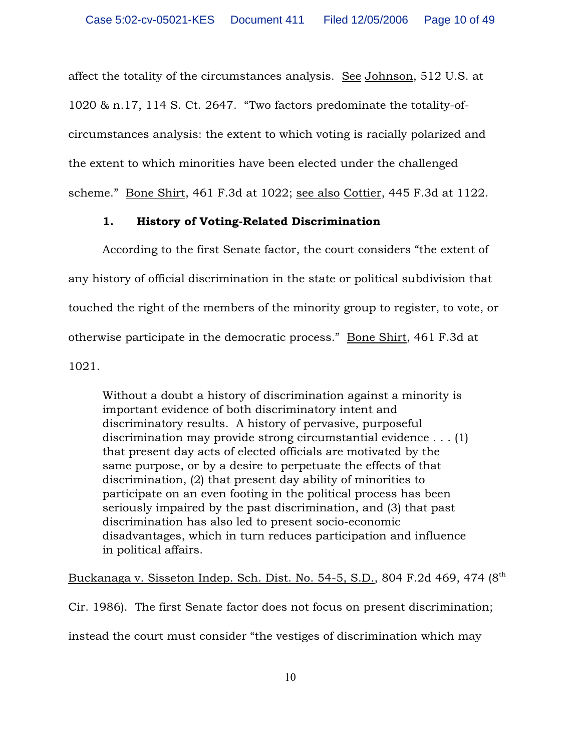affect the totality of the circumstances analysis. See Johnson, 512 U.S. at 1020 & n.17, 114 S. Ct. 2647. "Two factors predominate the totality-ofcircumstances analysis: the extent to which voting is racially polarized and the extent to which minorities have been elected under the challenged scheme." Bone Shirt, 461 F.3d at 1022; see also Cottier, 445 F.3d at 1122.

# 1. History of Voting-Related Discrimination

According to the first Senate factor, the court considers "the extent of any history of official discrimination in the state or political subdivision that touched the right of the members of the minority group to register, to vote, or otherwise participate in the democratic process." Bone Shirt, 461 F.3d at 1021.

Without a doubt a history of discrimination against a minority is important evidence of both discriminatory intent and discriminatory results. A history of pervasive, purposeful discrimination may provide strong circumstantial evidence . . . (1) that present day acts of elected officials are motivated by the same purpose, or by a desire to perpetuate the effects of that discrimination, (2) that present day ability of minorities to participate on an even footing in the political process has been seriously impaired by the past discrimination, and (3) that past discrimination has also led to present socio-economic disadvantages, which in turn reduces participation and influence in political affairs.

Buckanaga v. Sisseton Indep. Sch. Dist. No. 54-5, S.D., 804 F.2d 469, 474 (8th

Cir. 1986). The first Senate factor does not focus on present discrimination; instead the court must consider "the vestiges of discrimination which may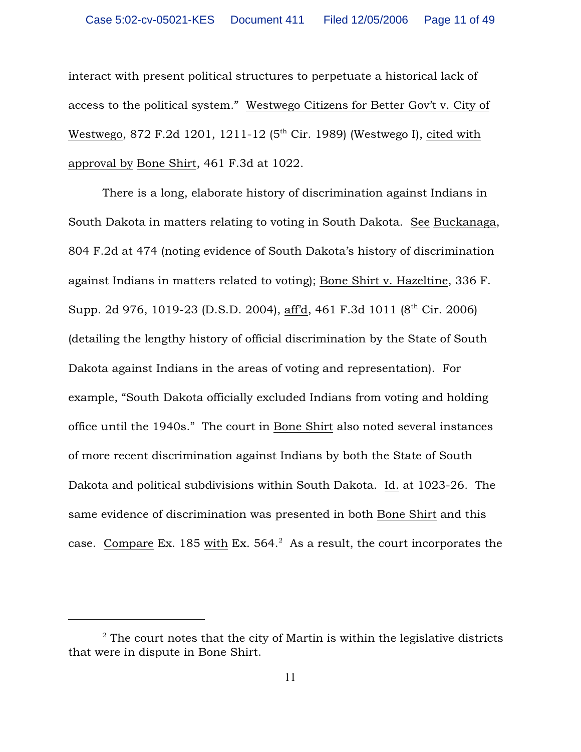interact with present political structures to perpetuate a historical lack of access to the political system." Westwego Citizens for Better Gov't v. City of Westwego, 872 F.2d 1201, 1211-12 ( $5<sup>th</sup>$  Cir. 1989) (Westwego I), cited with approval by Bone Shirt, 461 F.3d at 1022.

There is a long, elaborate history of discrimination against Indians in South Dakota in matters relating to voting in South Dakota. See Buckanaga, 804 F.2d at 474 (noting evidence of South Dakota's history of discrimination against Indians in matters related to voting); Bone Shirt v. Hazeltine, 336 F. Supp. 2d 976, 1019-23 (D.S.D. 2004), aff'd, 461 F.3d 1011 (8<sup>th</sup> Cir. 2006) (detailing the lengthy history of official discrimination by the State of South Dakota against Indians in the areas of voting and representation). For example, "South Dakota officially excluded Indians from voting and holding office until the 1940s." The court in Bone Shirt also noted several instances of more recent discrimination against Indians by both the State of South Dakota and political subdivisions within South Dakota. Id. at 1023-26. The same evidence of discrimination was presented in both Bone Shirt and this case. Compare Ex. 185 with Ex.  $564<sup>2</sup>$  As a result, the court incorporates the

 $\alpha$ <sup>2</sup> The court notes that the city of Martin is within the legislative districts that were in dispute in Bone Shirt.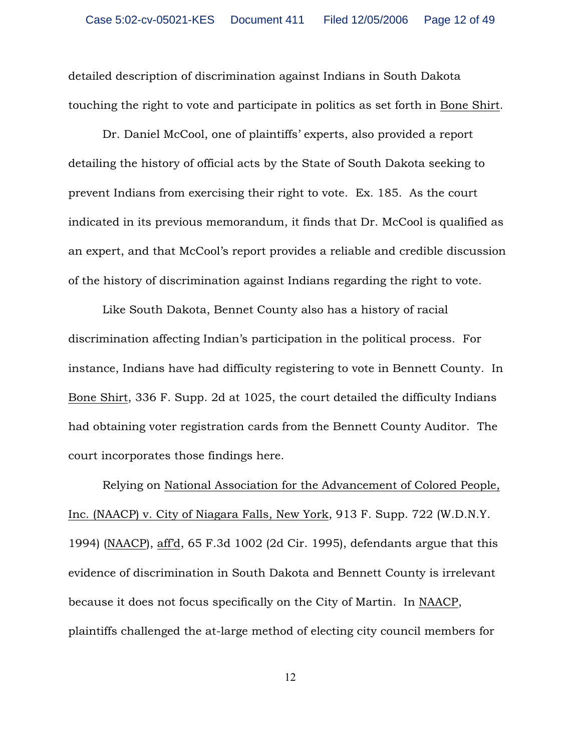detailed description of discrimination against Indians in South Dakota touching the right to vote and participate in politics as set forth in Bone Shirt.

Dr. Daniel McCool, one of plaintiffs' experts, also provided a report detailing the history of official acts by the State of South Dakota seeking to prevent Indians from exercising their right to vote. Ex. 185. As the court indicated in its previous memorandum, it finds that Dr. McCool is qualified as an expert, and that McCool's report provides a reliable and credible discussion of the history of discrimination against Indians regarding the right to vote.

Like South Dakota, Bennet County also has a history of racial discrimination affecting Indian's participation in the political process. For instance, Indians have had difficulty registering to vote in Bennett County. In Bone Shirt, 336 F. Supp. 2d at 1025, the court detailed the difficulty Indians had obtaining voter registration cards from the Bennett County Auditor. The court incorporates those findings here.

Relying on National Association for the Advancement of Colored People, Inc. (NAACP) v. City of Niagara Falls, New York, 913 F. Supp. 722 (W.D.N.Y. 1994) (NAACP), aff'd, 65 F.3d 1002 (2d Cir. 1995), defendants argue that this evidence of discrimination in South Dakota and Bennett County is irrelevant because it does not focus specifically on the City of Martin. In NAACP, plaintiffs challenged the at-large method of electing city council members for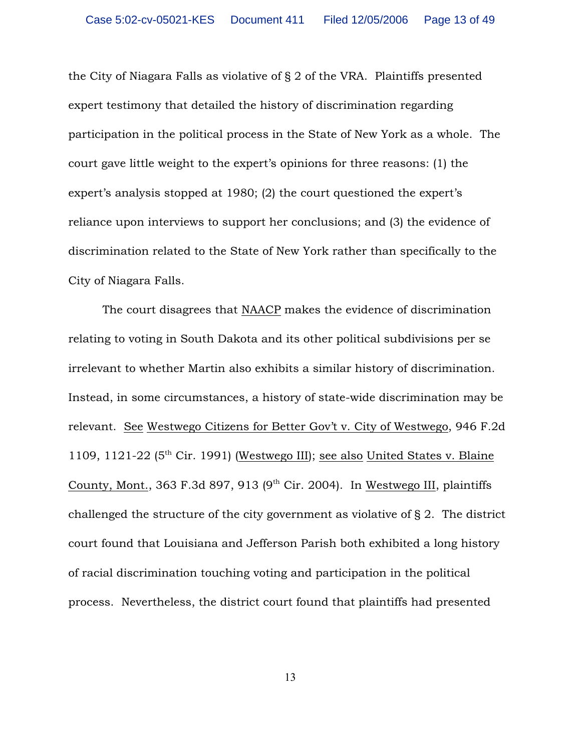the City of Niagara Falls as violative of § 2 of the VRA. Plaintiffs presented expert testimony that detailed the history of discrimination regarding participation in the political process in the State of New York as a whole. The court gave little weight to the expert's opinions for three reasons: (1) the expert's analysis stopped at 1980; (2) the court questioned the expert's reliance upon interviews to support her conclusions; and (3) the evidence of discrimination related to the State of New York rather than specifically to the City of Niagara Falls.

The court disagrees that NAACP makes the evidence of discrimination relating to voting in South Dakota and its other political subdivisions per se irrelevant to whether Martin also exhibits a similar history of discrimination. Instead, in some circumstances, a history of state-wide discrimination may be relevant. See Westwego Citizens for Better Gov't v. City of Westwego, 946 F.2d 1109, 1121-22 ( $5<sup>th</sup>$  Cir. 1991) (Westwego III); see also United States v. Blaine County, Mont., 363 F.3d 897, 913 (9<sup>th</sup> Cir. 2004). In Westwego III, plaintiffs challenged the structure of the city government as violative of § 2. The district court found that Louisiana and Jefferson Parish both exhibited a long history of racial discrimination touching voting and participation in the political process. Nevertheless, the district court found that plaintiffs had presented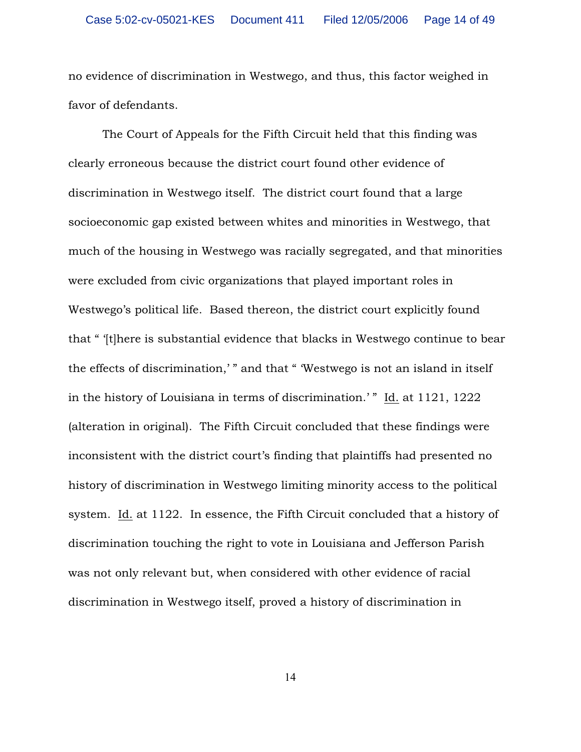no evidence of discrimination in Westwego, and thus, this factor weighed in favor of defendants.

The Court of Appeals for the Fifth Circuit held that this finding was clearly erroneous because the district court found other evidence of discrimination in Westwego itself. The district court found that a large socioeconomic gap existed between whites and minorities in Westwego, that much of the housing in Westwego was racially segregated, and that minorities were excluded from civic organizations that played important roles in Westwego's political life. Based thereon, the district court explicitly found that " '[t]here is substantial evidence that blacks in Westwego continue to bear the effects of discrimination,' " and that " 'Westwego is not an island in itself in the history of Louisiana in terms of discrimination.' " Id. at 1121, 1222 (alteration in original). The Fifth Circuit concluded that these findings were inconsistent with the district court's finding that plaintiffs had presented no history of discrimination in Westwego limiting minority access to the political system. Id. at 1122. In essence, the Fifth Circuit concluded that a history of discrimination touching the right to vote in Louisiana and Jefferson Parish was not only relevant but, when considered with other evidence of racial discrimination in Westwego itself, proved a history of discrimination in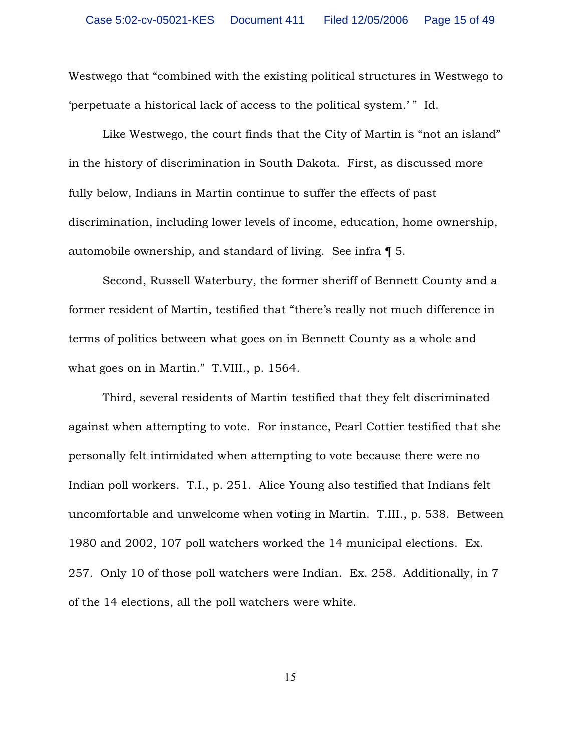Westwego that "combined with the existing political structures in Westwego to 'perpetuate a historical lack of access to the political system.' " Id.

Like Westwego, the court finds that the City of Martin is "not an island" in the history of discrimination in South Dakota. First, as discussed more fully below, Indians in Martin continue to suffer the effects of past discrimination, including lower levels of income, education, home ownership, automobile ownership, and standard of living. See infra ¶ 5.

Second, Russell Waterbury, the former sheriff of Bennett County and a former resident of Martin, testified that "there's really not much difference in terms of politics between what goes on in Bennett County as a whole and what goes on in Martin." T.VIII., p. 1564.

Third, several residents of Martin testified that they felt discriminated against when attempting to vote. For instance, Pearl Cottier testified that she personally felt intimidated when attempting to vote because there were no Indian poll workers. T.I., p. 251. Alice Young also testified that Indians felt uncomfortable and unwelcome when voting in Martin. T.III., p. 538. Between 1980 and 2002, 107 poll watchers worked the 14 municipal elections. Ex. 257. Only 10 of those poll watchers were Indian. Ex. 258. Additionally, in 7 of the 14 elections, all the poll watchers were white.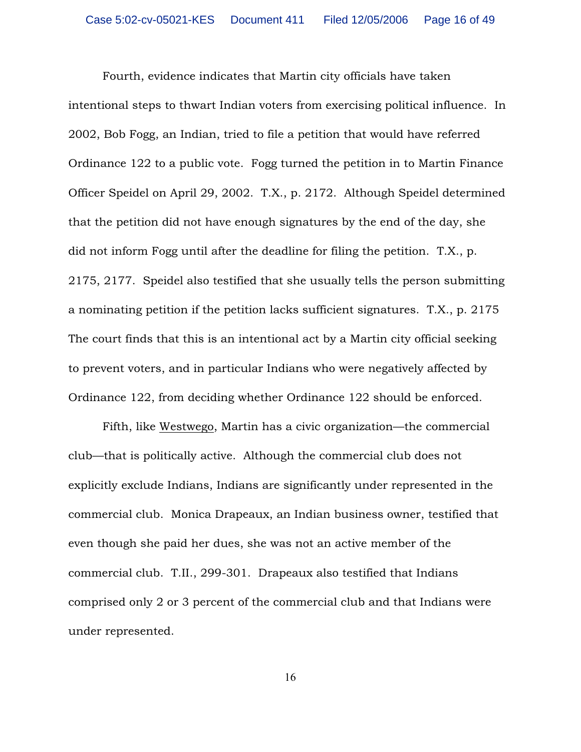Fourth, evidence indicates that Martin city officials have taken intentional steps to thwart Indian voters from exercising political influence. In 2002, Bob Fogg, an Indian, tried to file a petition that would have referred Ordinance 122 to a public vote. Fogg turned the petition in to Martin Finance Officer Speidel on April 29, 2002. T.X., p. 2172. Although Speidel determined that the petition did not have enough signatures by the end of the day, she did not inform Fogg until after the deadline for filing the petition. T.X., p. 2175, 2177. Speidel also testified that she usually tells the person submitting a nominating petition if the petition lacks sufficient signatures. T.X., p. 2175 The court finds that this is an intentional act by a Martin city official seeking to prevent voters, and in particular Indians who were negatively affected by Ordinance 122, from deciding whether Ordinance 122 should be enforced.

Fifth, like Westwego, Martin has a civic organization—the commercial club—that is politically active. Although the commercial club does not explicitly exclude Indians, Indians are significantly under represented in the commercial club. Monica Drapeaux, an Indian business owner, testified that even though she paid her dues, she was not an active member of the commercial club. T.II., 299-301. Drapeaux also testified that Indians comprised only 2 or 3 percent of the commercial club and that Indians were under represented.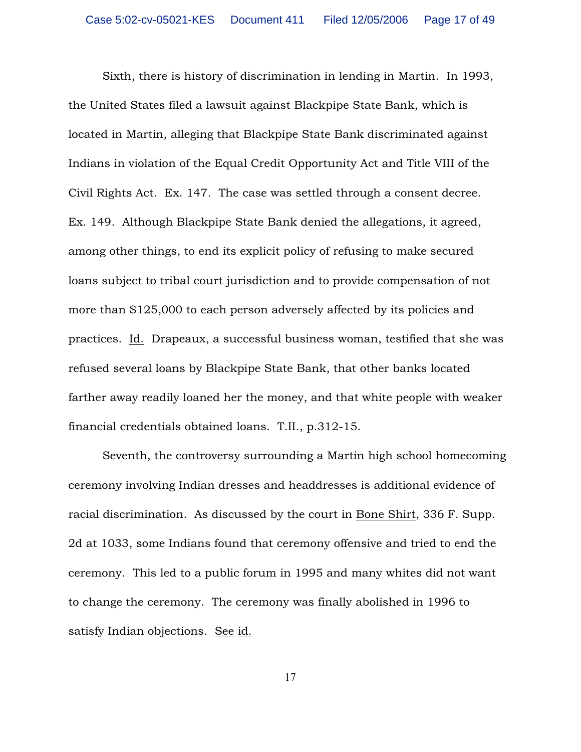Sixth, there is history of discrimination in lending in Martin. In 1993, the United States filed a lawsuit against Blackpipe State Bank, which is located in Martin, alleging that Blackpipe State Bank discriminated against Indians in violation of the Equal Credit Opportunity Act and Title VIII of the Civil Rights Act. Ex. 147. The case was settled through a consent decree. Ex. 149. Although Blackpipe State Bank denied the allegations, it agreed, among other things, to end its explicit policy of refusing to make secured loans subject to tribal court jurisdiction and to provide compensation of not more than \$125,000 to each person adversely affected by its policies and practices. Id. Drapeaux, a successful business woman, testified that she was refused several loans by Blackpipe State Bank, that other banks located farther away readily loaned her the money, and that white people with weaker financial credentials obtained loans. T.II., p.312-15.

Seventh, the controversy surrounding a Martin high school homecoming ceremony involving Indian dresses and headdresses is additional evidence of racial discrimination. As discussed by the court in Bone Shirt, 336 F. Supp. 2d at 1033, some Indians found that ceremony offensive and tried to end the ceremony. This led to a public forum in 1995 and many whites did not want to change the ceremony. The ceremony was finally abolished in 1996 to satisfy Indian objections. See id.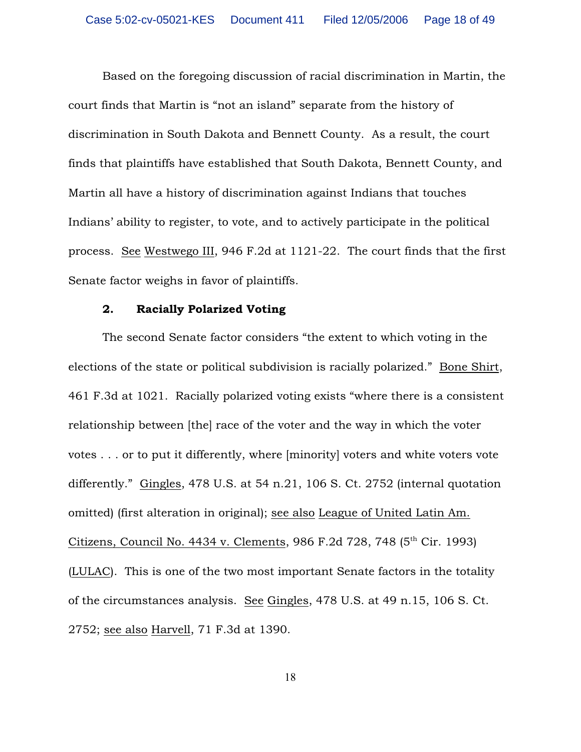Based on the foregoing discussion of racial discrimination in Martin, the court finds that Martin is "not an island" separate from the history of discrimination in South Dakota and Bennett County. As a result, the court finds that plaintiffs have established that South Dakota, Bennett County, and Martin all have a history of discrimination against Indians that touches Indians' ability to register, to vote, and to actively participate in the political process. See Westwego III, 946 F.2d at 1121-22. The court finds that the first Senate factor weighs in favor of plaintiffs.

### 2. Racially Polarized Voting

The second Senate factor considers "the extent to which voting in the elections of the state or political subdivision is racially polarized." Bone Shirt, 461 F.3d at 1021. Racially polarized voting exists "where there is a consistent relationship between [the] race of the voter and the way in which the voter votes . . . or to put it differently, where [minority] voters and white voters vote differently." Gingles, 478 U.S. at 54 n.21, 106 S. Ct. 2752 (internal quotation omitted) (first alteration in original); see also League of United Latin Am. Citizens, Council No. 4434 v. Clements, 986 F.2d 728, 748 (5<sup>th</sup> Cir. 1993) (LULAC). This is one of the two most important Senate factors in the totality of the circumstances analysis. See Gingles, 478 U.S. at 49 n.15, 106 S. Ct. 2752; see also Harvell, 71 F.3d at 1390.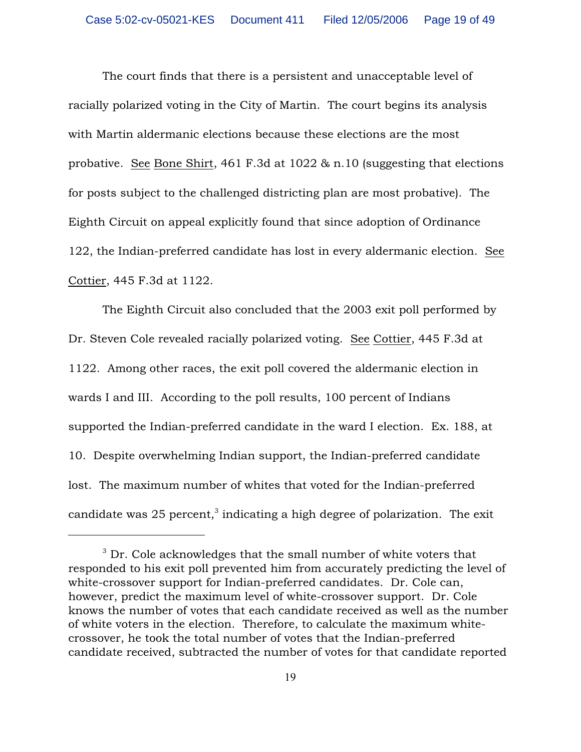The court finds that there is a persistent and unacceptable level of racially polarized voting in the City of Martin. The court begins its analysis with Martin aldermanic elections because these elections are the most probative. See Bone Shirt, 461 F.3d at 1022 & n.10 (suggesting that elections for posts subject to the challenged districting plan are most probative). The Eighth Circuit on appeal explicitly found that since adoption of Ordinance 122, the Indian-preferred candidate has lost in every aldermanic election. See Cottier, 445 F.3d at 1122.

The Eighth Circuit also concluded that the 2003 exit poll performed by Dr. Steven Cole revealed racially polarized voting. See Cottier, 445 F.3d at 1122. Among other races, the exit poll covered the aldermanic election in wards I and III. According to the poll results, 100 percent of Indians supported the Indian-preferred candidate in the ward I election. Ex. 188, at 10. Despite overwhelming Indian support, the Indian-preferred candidate lost. The maximum number of whites that voted for the Indian-preferred candidate was 25 percent, $3$  indicating a high degree of polarization. The exit

 $3$  Dr. Cole acknowledges that the small number of white voters that responded to his exit poll prevented him from accurately predicting the level of white-crossover support for Indian-preferred candidates. Dr. Cole can, however, predict the maximum level of white-crossover support. Dr. Cole knows the number of votes that each candidate received as well as the number of white voters in the election. Therefore, to calculate the maximum whitecrossover, he took the total number of votes that the Indian-preferred candidate received, subtracted the number of votes for that candidate reported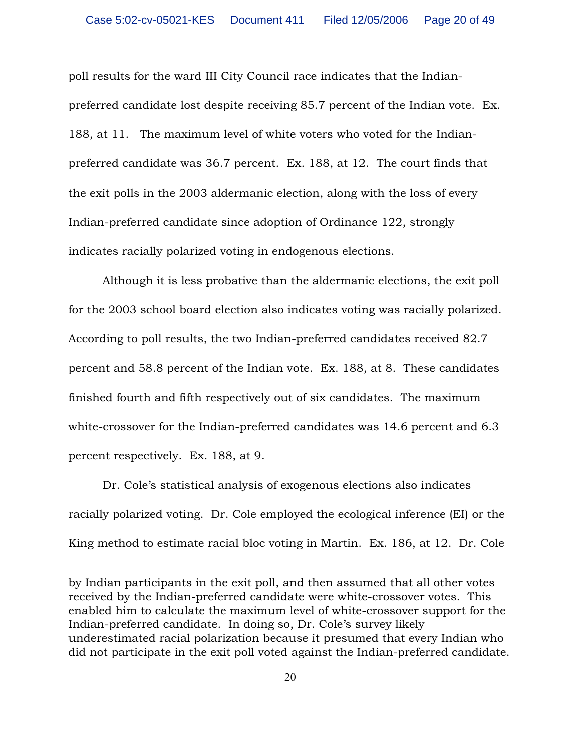poll results for the ward III City Council race indicates that the Indianpreferred candidate lost despite receiving 85.7 percent of the Indian vote. Ex. 188, at 11. The maximum level of white voters who voted for the Indianpreferred candidate was 36.7 percent. Ex. 188, at 12. The court finds that the exit polls in the 2003 aldermanic election, along with the loss of every Indian-preferred candidate since adoption of Ordinance 122, strongly indicates racially polarized voting in endogenous elections.

Although it is less probative than the aldermanic elections, the exit poll for the 2003 school board election also indicates voting was racially polarized. According to poll results, the two Indian-preferred candidates received 82.7 percent and 58.8 percent of the Indian vote. Ex. 188, at 8. These candidates finished fourth and fifth respectively out of six candidates. The maximum white-crossover for the Indian-preferred candidates was 14.6 percent and 6.3 percent respectively. Ex. 188, at 9.

Dr. Cole's statistical analysis of exogenous elections also indicates racially polarized voting. Dr. Cole employed the ecological inference (EI) or the King method to estimate racial bloc voting in Martin. Ex. 186, at 12. Dr. Cole

by Indian participants in the exit poll, and then assumed that all other votes received by the Indian-preferred candidate were white-crossover votes. This enabled him to calculate the maximum level of white-crossover support for the Indian-preferred candidate. In doing so, Dr. Cole's survey likely underestimated racial polarization because it presumed that every Indian who did not participate in the exit poll voted against the Indian-preferred candidate.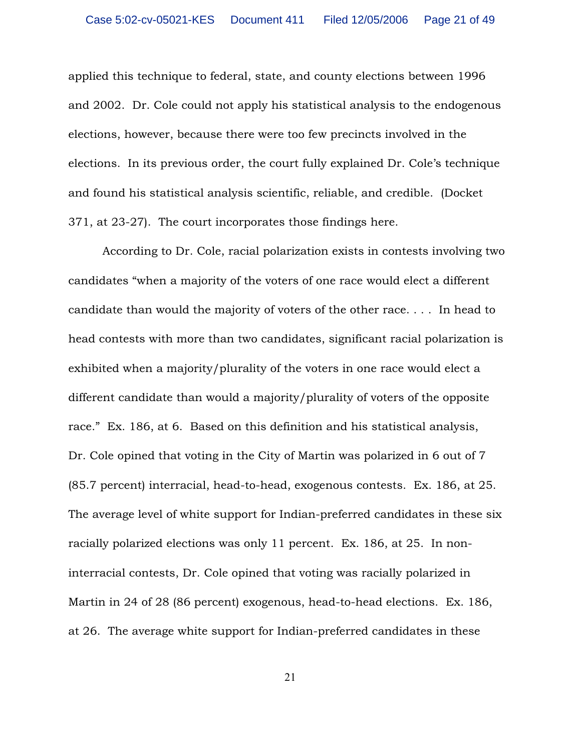applied this technique to federal, state, and county elections between 1996 and 2002. Dr. Cole could not apply his statistical analysis to the endogenous elections, however, because there were too few precincts involved in the elections. In its previous order, the court fully explained Dr. Cole's technique and found his statistical analysis scientific, reliable, and credible. (Docket 371, at 23-27). The court incorporates those findings here.

According to Dr. Cole, racial polarization exists in contests involving two candidates "when a majority of the voters of one race would elect a different candidate than would the majority of voters of the other race. . . . In head to head contests with more than two candidates, significant racial polarization is exhibited when a majority/plurality of the voters in one race would elect a different candidate than would a majority/plurality of voters of the opposite race." Ex. 186, at 6. Based on this definition and his statistical analysis, Dr. Cole opined that voting in the City of Martin was polarized in 6 out of 7 (85.7 percent) interracial, head-to-head, exogenous contests. Ex. 186, at 25. The average level of white support for Indian-preferred candidates in these six racially polarized elections was only 11 percent. Ex. 186, at 25. In noninterracial contests, Dr. Cole opined that voting was racially polarized in Martin in 24 of 28 (86 percent) exogenous, head-to-head elections. Ex. 186, at 26. The average white support for Indian-preferred candidates in these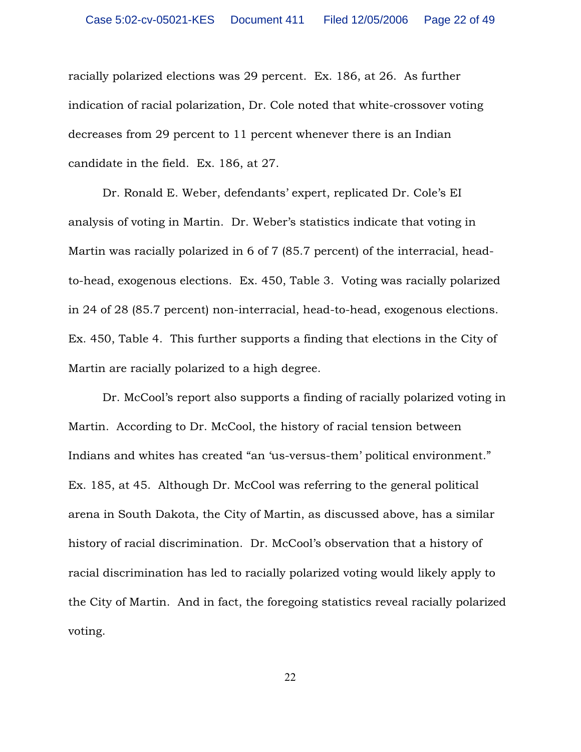racially polarized elections was 29 percent. Ex. 186, at 26. As further indication of racial polarization, Dr. Cole noted that white-crossover voting decreases from 29 percent to 11 percent whenever there is an Indian candidate in the field. Ex. 186, at 27.

Dr. Ronald E. Weber, defendants' expert, replicated Dr. Cole's EI analysis of voting in Martin. Dr. Weber's statistics indicate that voting in Martin was racially polarized in 6 of 7 (85.7 percent) of the interracial, headto-head, exogenous elections. Ex. 450, Table 3. Voting was racially polarized in 24 of 28 (85.7 percent) non-interracial, head-to-head, exogenous elections. Ex. 450, Table 4. This further supports a finding that elections in the City of Martin are racially polarized to a high degree.

Dr. McCool's report also supports a finding of racially polarized voting in Martin. According to Dr. McCool, the history of racial tension between Indians and whites has created "an 'us-versus-them' political environment." Ex. 185, at 45. Although Dr. McCool was referring to the general political arena in South Dakota, the City of Martin, as discussed above, has a similar history of racial discrimination. Dr. McCool's observation that a history of racial discrimination has led to racially polarized voting would likely apply to the City of Martin. And in fact, the foregoing statistics reveal racially polarized voting.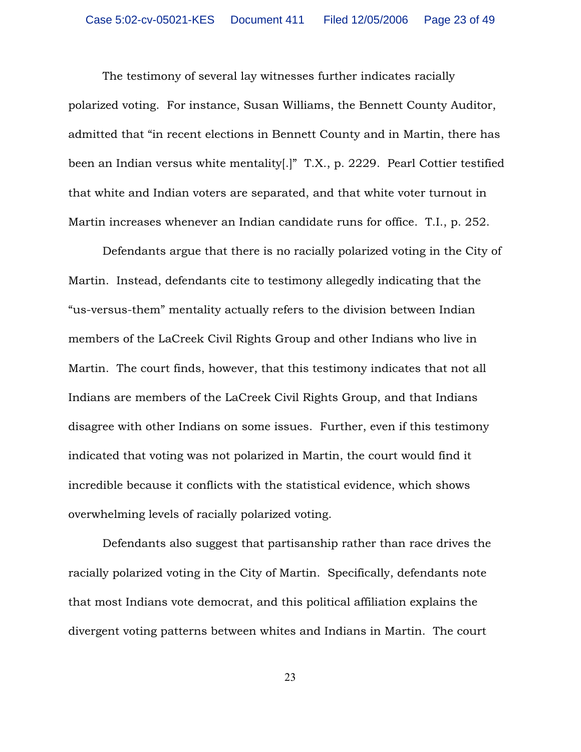The testimony of several lay witnesses further indicates racially polarized voting. For instance, Susan Williams, the Bennett County Auditor, admitted that "in recent elections in Bennett County and in Martin, there has been an Indian versus white mentality[.]" T.X., p. 2229. Pearl Cottier testified that white and Indian voters are separated, and that white voter turnout in Martin increases whenever an Indian candidate runs for office. T.I., p. 252.

Defendants argue that there is no racially polarized voting in the City of Martin. Instead, defendants cite to testimony allegedly indicating that the "us-versus-them" mentality actually refers to the division between Indian members of the LaCreek Civil Rights Group and other Indians who live in Martin. The court finds, however, that this testimony indicates that not all Indians are members of the LaCreek Civil Rights Group, and that Indians disagree with other Indians on some issues. Further, even if this testimony indicated that voting was not polarized in Martin, the court would find it incredible because it conflicts with the statistical evidence, which shows overwhelming levels of racially polarized voting.

Defendants also suggest that partisanship rather than race drives the racially polarized voting in the City of Martin. Specifically, defendants note that most Indians vote democrat, and this political affiliation explains the divergent voting patterns between whites and Indians in Martin. The court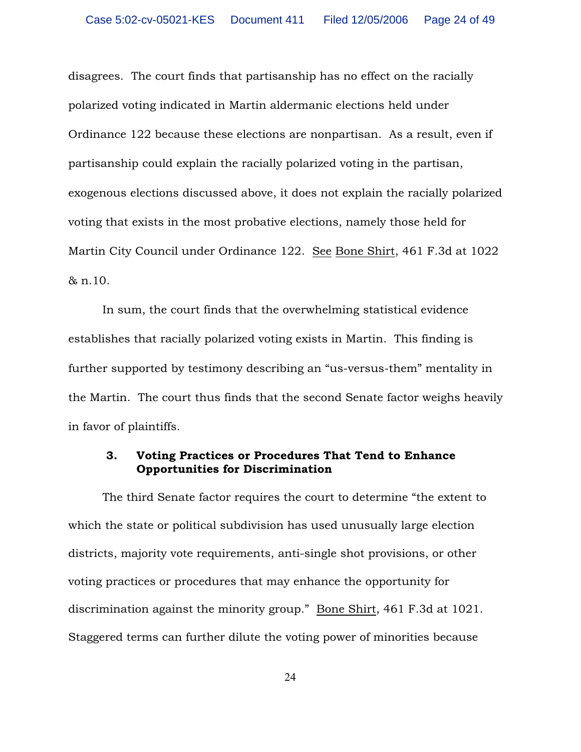disagrees. The court finds that partisanship has no effect on the racially polarized voting indicated in Martin aldermanic elections held under Ordinance 122 because these elections are nonpartisan. As a result, even if partisanship could explain the racially polarized voting in the partisan, exogenous elections discussed above, it does not explain the racially polarized voting that exists in the most probative elections, namely those held for Martin City Council under Ordinance 122. See Bone Shirt, 461 F.3d at 1022 & n.10.

In sum, the court finds that the overwhelming statistical evidence establishes that racially polarized voting exists in Martin. This finding is further supported by testimony describing an "us-versus-them" mentality in the Martin. The court thus finds that the second Senate factor weighs heavily in favor of plaintiffs.

# 3. Voting Practices or Procedures That Tend to Enhance Opportunities for Discrimination

The third Senate factor requires the court to determine "the extent to which the state or political subdivision has used unusually large election districts, majority vote requirements, anti-single shot provisions, or other voting practices or procedures that may enhance the opportunity for discrimination against the minority group." Bone Shirt, 461 F.3d at 1021. Staggered terms can further dilute the voting power of minorities because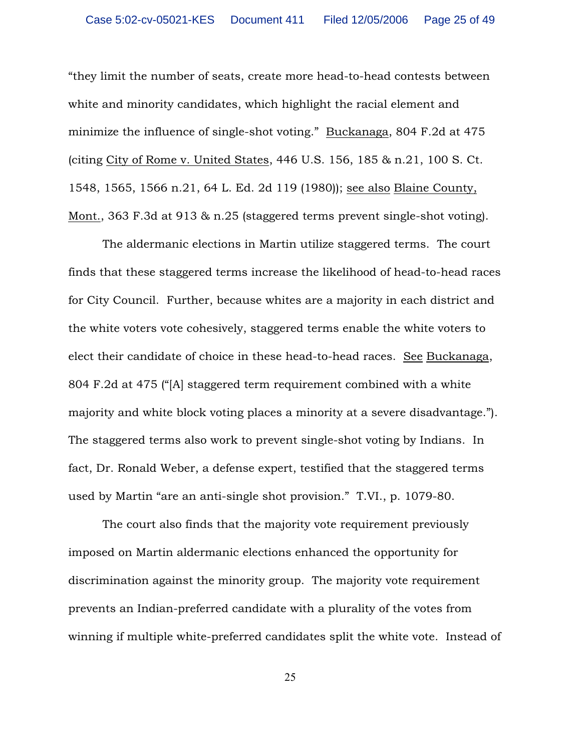"they limit the number of seats, create more head-to-head contests between white and minority candidates, which highlight the racial element and minimize the influence of single-shot voting." Buckanaga, 804 F.2d at 475 (citing City of Rome v. United States, 446 U.S. 156, 185 & n.21, 100 S. Ct. 1548, 1565, 1566 n.21, 64 L. Ed. 2d 119 (1980)); see also Blaine County, Mont., 363 F.3d at 913 & n.25 (staggered terms prevent single-shot voting).

The aldermanic elections in Martin utilize staggered terms. The court finds that these staggered terms increase the likelihood of head-to-head races for City Council. Further, because whites are a majority in each district and the white voters vote cohesively, staggered terms enable the white voters to elect their candidate of choice in these head-to-head races. See Buckanaga, 804 F.2d at 475 ("[A] staggered term requirement combined with a white majority and white block voting places a minority at a severe disadvantage."). The staggered terms also work to prevent single-shot voting by Indians. In fact, Dr. Ronald Weber, a defense expert, testified that the staggered terms used by Martin "are an anti-single shot provision." T.VI., p. 1079-80.

The court also finds that the majority vote requirement previously imposed on Martin aldermanic elections enhanced the opportunity for discrimination against the minority group. The majority vote requirement prevents an Indian-preferred candidate with a plurality of the votes from winning if multiple white-preferred candidates split the white vote. Instead of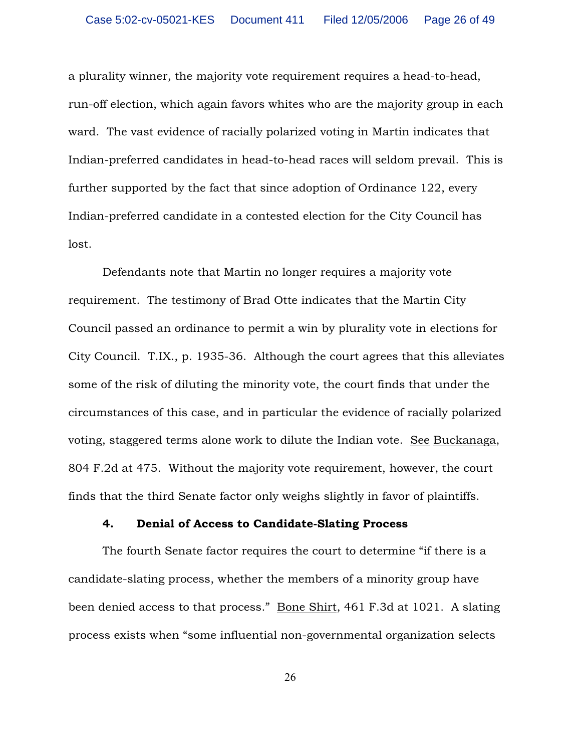a plurality winner, the majority vote requirement requires a head-to-head, run-off election, which again favors whites who are the majority group in each ward. The vast evidence of racially polarized voting in Martin indicates that Indian-preferred candidates in head-to-head races will seldom prevail. This is further supported by the fact that since adoption of Ordinance 122, every Indian-preferred candidate in a contested election for the City Council has lost.

Defendants note that Martin no longer requires a majority vote requirement. The testimony of Brad Otte indicates that the Martin City Council passed an ordinance to permit a win by plurality vote in elections for City Council. T.IX., p. 1935-36. Although the court agrees that this alleviates some of the risk of diluting the minority vote, the court finds that under the circumstances of this case, and in particular the evidence of racially polarized voting, staggered terms alone work to dilute the Indian vote. See Buckanaga, 804 F.2d at 475. Without the majority vote requirement, however, the court finds that the third Senate factor only weighs slightly in favor of plaintiffs.

## 4. Denial of Access to Candidate-Slating Process

The fourth Senate factor requires the court to determine "if there is a candidate-slating process, whether the members of a minority group have been denied access to that process." Bone Shirt, 461 F.3d at 1021. A slating process exists when "some influential non-governmental organization selects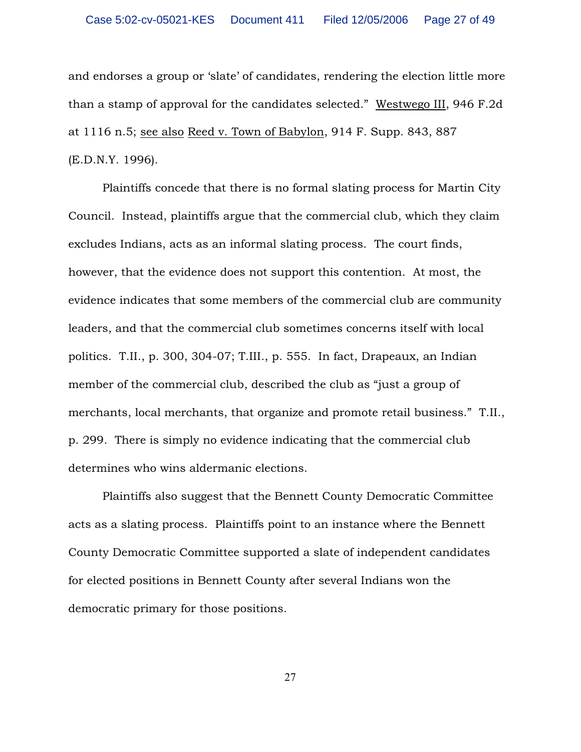and endorses a group or 'slate' of candidates, rendering the election little more than a stamp of approval for the candidates selected." Westwego III, 946 F.2d at 1116 n.5; see also Reed v. Town of Babylon, 914 F. Supp. 843, 887 (E.D.N.Y. 1996).

Plaintiffs concede that there is no formal slating process for Martin City Council. Instead, plaintiffs argue that the commercial club, which they claim excludes Indians, acts as an informal slating process. The court finds, however, that the evidence does not support this contention. At most, the evidence indicates that some members of the commercial club are community leaders, and that the commercial club sometimes concerns itself with local politics. T.II., p. 300, 304-07; T.III., p. 555. In fact, Drapeaux, an Indian member of the commercial club, described the club as "just a group of merchants, local merchants, that organize and promote retail business." T.II., p. 299. There is simply no evidence indicating that the commercial club determines who wins aldermanic elections.

Plaintiffs also suggest that the Bennett County Democratic Committee acts as a slating process. Plaintiffs point to an instance where the Bennett County Democratic Committee supported a slate of independent candidates for elected positions in Bennett County after several Indians won the democratic primary for those positions.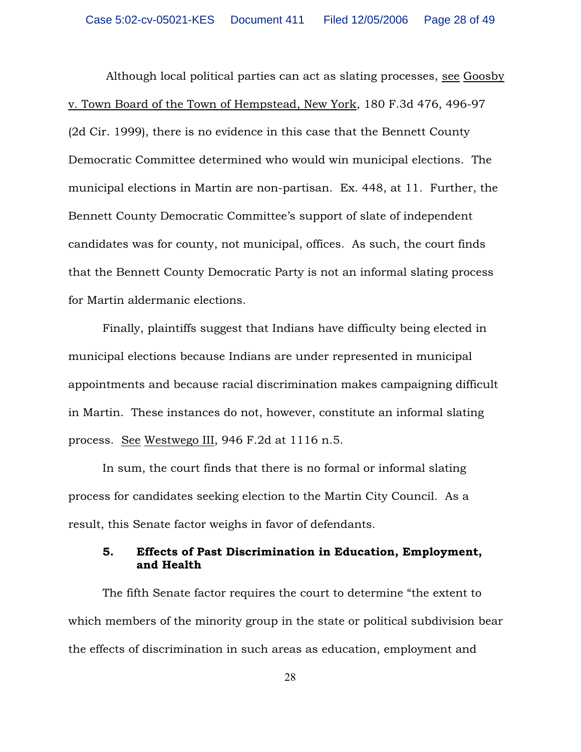Although local political parties can act as slating processes, see Goosby v. Town Board of the Town of Hempstead, New York, 180 F.3d 476, 496-97 (2d Cir. 1999), there is no evidence in this case that the Bennett County Democratic Committee determined who would win municipal elections. The municipal elections in Martin are non-partisan. Ex. 448, at 11. Further, the Bennett County Democratic Committee's support of slate of independent candidates was for county, not municipal, offices. As such, the court finds that the Bennett County Democratic Party is not an informal slating process for Martin aldermanic elections.

Finally, plaintiffs suggest that Indians have difficulty being elected in municipal elections because Indians are under represented in municipal appointments and because racial discrimination makes campaigning difficult in Martin. These instances do not, however, constitute an informal slating process. See Westwego III, 946 F.2d at 1116 n.5.

In sum, the court finds that there is no formal or informal slating process for candidates seeking election to the Martin City Council. As a result, this Senate factor weighs in favor of defendants.

## 5. Effects of Past Discrimination in Education, Employment, and Health

The fifth Senate factor requires the court to determine "the extent to which members of the minority group in the state or political subdivision bear the effects of discrimination in such areas as education, employment and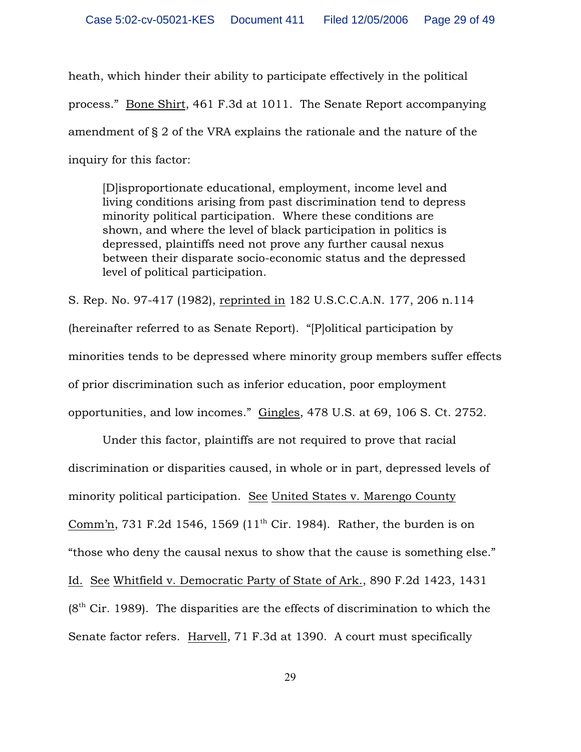heath, which hinder their ability to participate effectively in the political process." Bone Shirt, 461 F.3d at 1011. The Senate Report accompanying amendment of § 2 of the VRA explains the rationale and the nature of the inquiry for this factor:

[D]isproportionate educational, employment, income level and living conditions arising from past discrimination tend to depress minority political participation. Where these conditions are shown, and where the level of black participation in politics is depressed, plaintiffs need not prove any further causal nexus between their disparate socio-economic status and the depressed level of political participation.

S. Rep. No. 97-417 (1982), reprinted in 182 U.S.C.C.A.N. 177, 206 n.114 (hereinafter referred to as Senate Report). "[P]olitical participation by minorities tends to be depressed where minority group members suffer effects of prior discrimination such as inferior education, poor employment opportunities, and low incomes." Gingles, 478 U.S. at 69, 106 S. Ct. 2752.

Under this factor, plaintiffs are not required to prove that racial discrimination or disparities caused, in whole or in part, depressed levels of minority political participation. See United States v. Marengo County Comm'n, 731 F.2d 1546, 1569 ( $11<sup>th</sup>$  Cir. 1984). Rather, the burden is on "those who deny the causal nexus to show that the cause is something else." Id. See Whitfield v. Democratic Party of State of Ark., 890 F.2d 1423, 1431  $(8<sup>th</sup> Cir. 1989)$ . The disparities are the effects of discrimination to which the Senate factor refers. Harvell, 71 F.3d at 1390. A court must specifically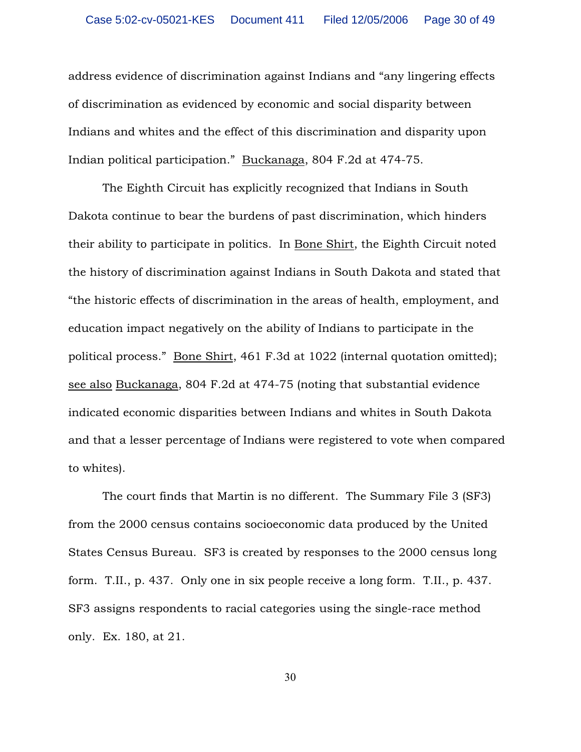address evidence of discrimination against Indians and "any lingering effects of discrimination as evidenced by economic and social disparity between Indians and whites and the effect of this discrimination and disparity upon Indian political participation." Buckanaga, 804 F.2d at 474-75.

The Eighth Circuit has explicitly recognized that Indians in South Dakota continue to bear the burdens of past discrimination, which hinders their ability to participate in politics. In Bone Shirt, the Eighth Circuit noted the history of discrimination against Indians in South Dakota and stated that "the historic effects of discrimination in the areas of health, employment, and education impact negatively on the ability of Indians to participate in the political process." Bone Shirt, 461 F.3d at 1022 (internal quotation omitted); see also Buckanaga, 804 F.2d at 474-75 (noting that substantial evidence indicated economic disparities between Indians and whites in South Dakota and that a lesser percentage of Indians were registered to vote when compared to whites).

The court finds that Martin is no different. The Summary File 3 (SF3) from the 2000 census contains socioeconomic data produced by the United States Census Bureau. SF3 is created by responses to the 2000 census long form. T.II., p. 437. Only one in six people receive a long form. T.II., p. 437. SF3 assigns respondents to racial categories using the single-race method only. Ex. 180, at 21.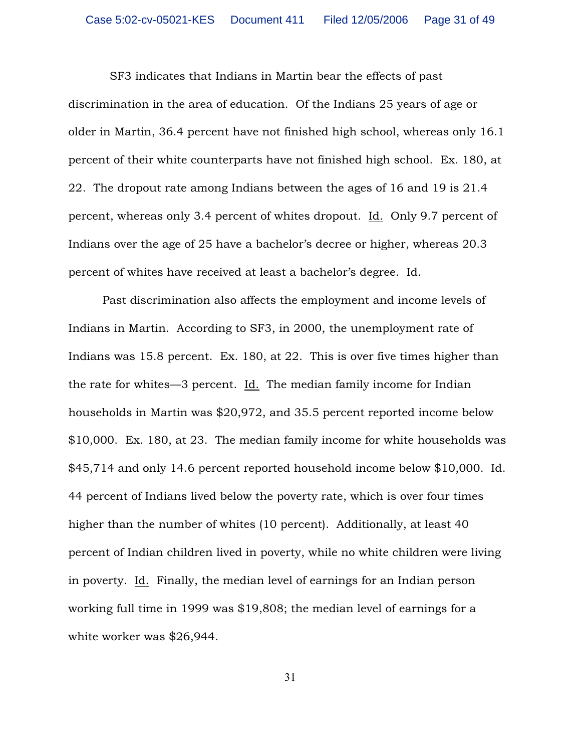SF3 indicates that Indians in Martin bear the effects of past discrimination in the area of education. Of the Indians 25 years of age or older in Martin, 36.4 percent have not finished high school, whereas only 16.1 percent of their white counterparts have not finished high school. Ex. 180, at 22. The dropout rate among Indians between the ages of 16 and 19 is 21.4 percent, whereas only 3.4 percent of whites dropout. Id. Only 9.7 percent of Indians over the age of 25 have a bachelor's decree or higher, whereas 20.3 percent of whites have received at least a bachelor's degree. Id.

Past discrimination also affects the employment and income levels of Indians in Martin. According to SF3, in 2000, the unemployment rate of Indians was 15.8 percent. Ex. 180, at 22. This is over five times higher than the rate for whites—3 percent. Id. The median family income for Indian households in Martin was \$20,972, and 35.5 percent reported income below \$10,000. Ex. 180, at 23. The median family income for white households was \$45,714 and only 14.6 percent reported household income below \$10,000. Id. 44 percent of Indians lived below the poverty rate, which is over four times higher than the number of whites (10 percent). Additionally, at least 40 percent of Indian children lived in poverty, while no white children were living in poverty. Id. Finally, the median level of earnings for an Indian person working full time in 1999 was \$19,808; the median level of earnings for a white worker was \$26,944.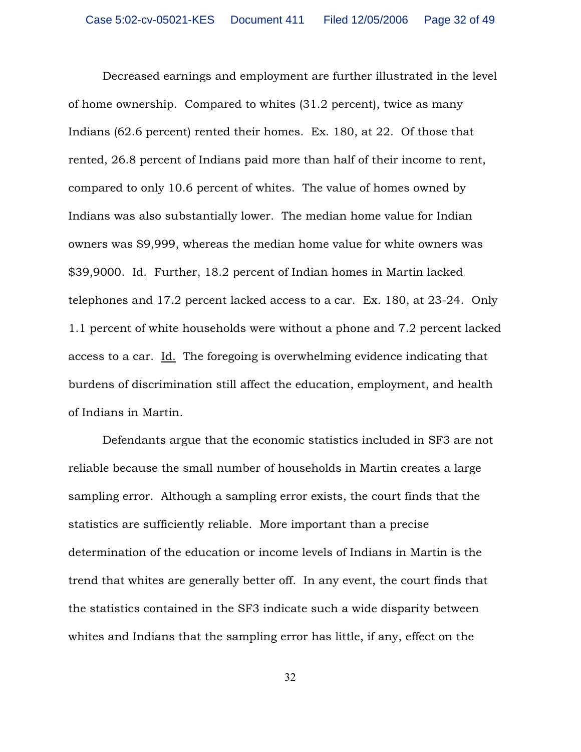Decreased earnings and employment are further illustrated in the level of home ownership. Compared to whites (31.2 percent), twice as many Indians (62.6 percent) rented their homes. Ex. 180, at 22. Of those that rented, 26.8 percent of Indians paid more than half of their income to rent, compared to only 10.6 percent of whites. The value of homes owned by Indians was also substantially lower. The median home value for Indian owners was \$9,999, whereas the median home value for white owners was \$39,9000. Id. Further, 18.2 percent of Indian homes in Martin lacked telephones and 17.2 percent lacked access to a car. Ex. 180, at 23-24. Only 1.1 percent of white households were without a phone and 7.2 percent lacked access to a car. Id. The foregoing is overwhelming evidence indicating that burdens of discrimination still affect the education, employment, and health of Indians in Martin.

Defendants argue that the economic statistics included in SF3 are not reliable because the small number of households in Martin creates a large sampling error. Although a sampling error exists, the court finds that the statistics are sufficiently reliable. More important than a precise determination of the education or income levels of Indians in Martin is the trend that whites are generally better off. In any event, the court finds that the statistics contained in the SF3 indicate such a wide disparity between whites and Indians that the sampling error has little, if any, effect on the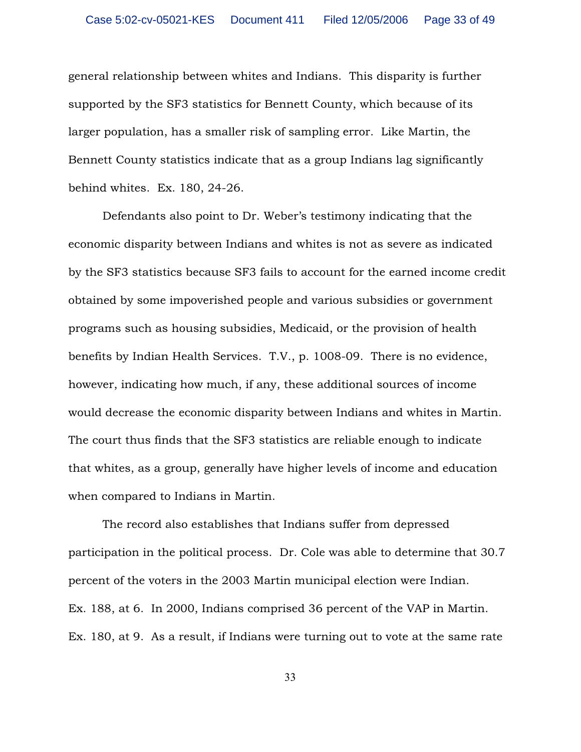general relationship between whites and Indians. This disparity is further supported by the SF3 statistics for Bennett County, which because of its larger population, has a smaller risk of sampling error. Like Martin, the Bennett County statistics indicate that as a group Indians lag significantly behind whites. Ex. 180, 24-26.

Defendants also point to Dr. Weber's testimony indicating that the economic disparity between Indians and whites is not as severe as indicated by the SF3 statistics because SF3 fails to account for the earned income credit obtained by some impoverished people and various subsidies or government programs such as housing subsidies, Medicaid, or the provision of health benefits by Indian Health Services. T.V., p. 1008-09. There is no evidence, however, indicating how much, if any, these additional sources of income would decrease the economic disparity between Indians and whites in Martin. The court thus finds that the SF3 statistics are reliable enough to indicate that whites, as a group, generally have higher levels of income and education when compared to Indians in Martin.

The record also establishes that Indians suffer from depressed participation in the political process. Dr. Cole was able to determine that 30.7 percent of the voters in the 2003 Martin municipal election were Indian. Ex. 188, at 6. In 2000, Indians comprised 36 percent of the VAP in Martin. Ex. 180, at 9. As a result, if Indians were turning out to vote at the same rate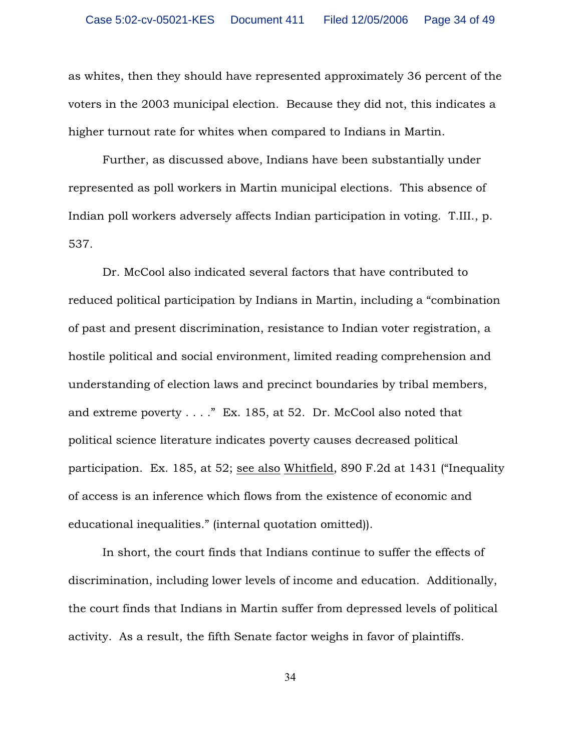as whites, then they should have represented approximately 36 percent of the voters in the 2003 municipal election. Because they did not, this indicates a higher turnout rate for whites when compared to Indians in Martin.

Further, as discussed above, Indians have been substantially under represented as poll workers in Martin municipal elections. This absence of Indian poll workers adversely affects Indian participation in voting. T.III., p. 537.

Dr. McCool also indicated several factors that have contributed to reduced political participation by Indians in Martin, including a "combination of past and present discrimination, resistance to Indian voter registration, a hostile political and social environment, limited reading comprehension and understanding of election laws and precinct boundaries by tribal members, and extreme poverty . . . ." Ex. 185, at 52. Dr. McCool also noted that political science literature indicates poverty causes decreased political participation. Ex. 185, at 52; see also Whitfield, 890 F.2d at 1431 ("Inequality of access is an inference which flows from the existence of economic and educational inequalities." (internal quotation omitted)).

In short, the court finds that Indians continue to suffer the effects of discrimination, including lower levels of income and education. Additionally, the court finds that Indians in Martin suffer from depressed levels of political activity. As a result, the fifth Senate factor weighs in favor of plaintiffs.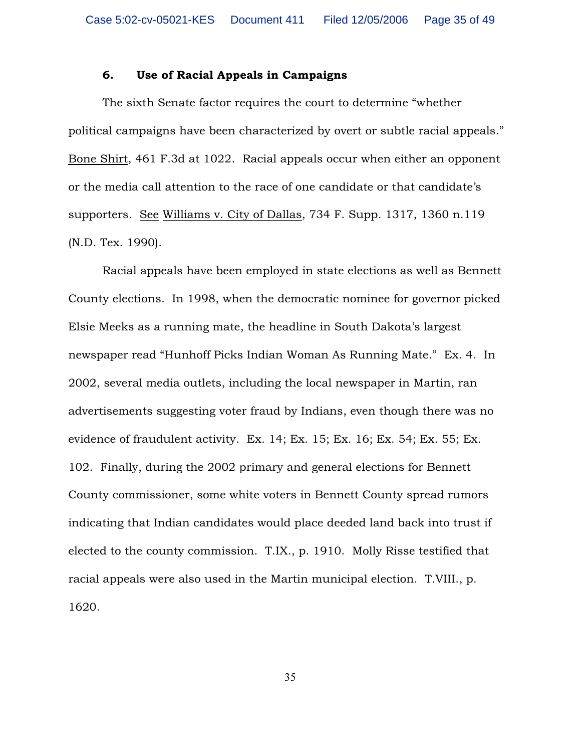### 6. Use of Racial Appeals in Campaigns

The sixth Senate factor requires the court to determine "whether political campaigns have been characterized by overt or subtle racial appeals." Bone Shirt, 461 F.3d at 1022. Racial appeals occur when either an opponent or the media call attention to the race of one candidate or that candidate's supporters. See Williams v. City of Dallas, 734 F. Supp. 1317, 1360 n.119 (N.D. Tex. 1990).

Racial appeals have been employed in state elections as well as Bennett County elections. In 1998, when the democratic nominee for governor picked Elsie Meeks as a running mate, the headline in South Dakota's largest newspaper read "Hunhoff Picks Indian Woman As Running Mate." Ex. 4. In 2002, several media outlets, including the local newspaper in Martin, ran advertisements suggesting voter fraud by Indians, even though there was no evidence of fraudulent activity. Ex. 14; Ex. 15; Ex. 16; Ex. 54; Ex. 55; Ex. 102. Finally, during the 2002 primary and general elections for Bennett County commissioner, some white voters in Bennett County spread rumors indicating that Indian candidates would place deeded land back into trust if elected to the county commission. T.IX., p. 1910. Molly Risse testified that racial appeals were also used in the Martin municipal election. T.VIII., p. 1620.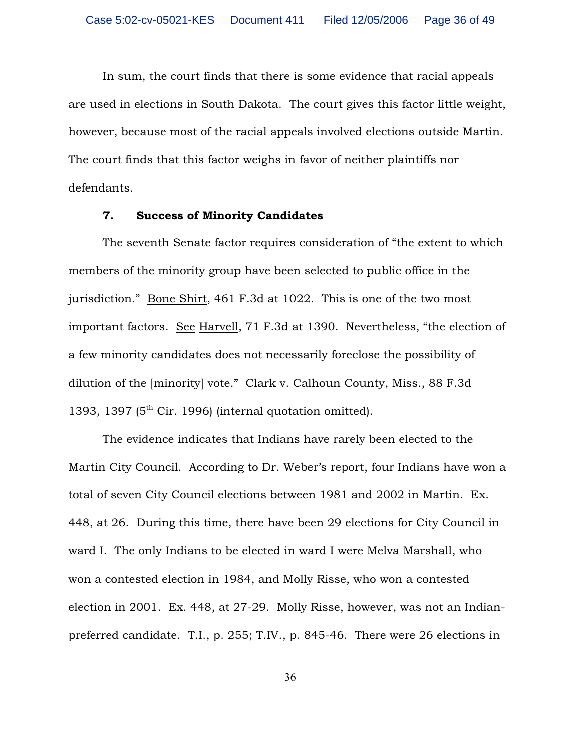In sum, the court finds that there is some evidence that racial appeals are used in elections in South Dakota. The court gives this factor little weight, however, because most of the racial appeals involved elections outside Martin. The court finds that this factor weighs in favor of neither plaintiffs nor defendants.

### 7. Success of Minority Candidates

The seventh Senate factor requires consideration of "the extent to which members of the minority group have been selected to public office in the jurisdiction." Bone Shirt, 461 F.3d at 1022. This is one of the two most important factors. See Harvell, 71 F.3d at 1390. Nevertheless, "the election of a few minority candidates does not necessarily foreclose the possibility of dilution of the [minority] vote." Clark v. Calhoun County, Miss., 88 F.3d 1393, 1397 ( $5<sup>th</sup>$  Cir. 1996) (internal quotation omitted).

The evidence indicates that Indians have rarely been elected to the Martin City Council. According to Dr. Weber's report, four Indians have won a total of seven City Council elections between 1981 and 2002 in Martin. Ex. 448, at 26. During this time, there have been 29 elections for City Council in ward I. The only Indians to be elected in ward I were Melva Marshall, who won a contested election in 1984, and Molly Risse, who won a contested election in 2001. Ex. 448, at 27-29. Molly Risse, however, was not an Indianpreferred candidate. T.I., p. 255; T.IV., p. 845-46. There were 26 elections in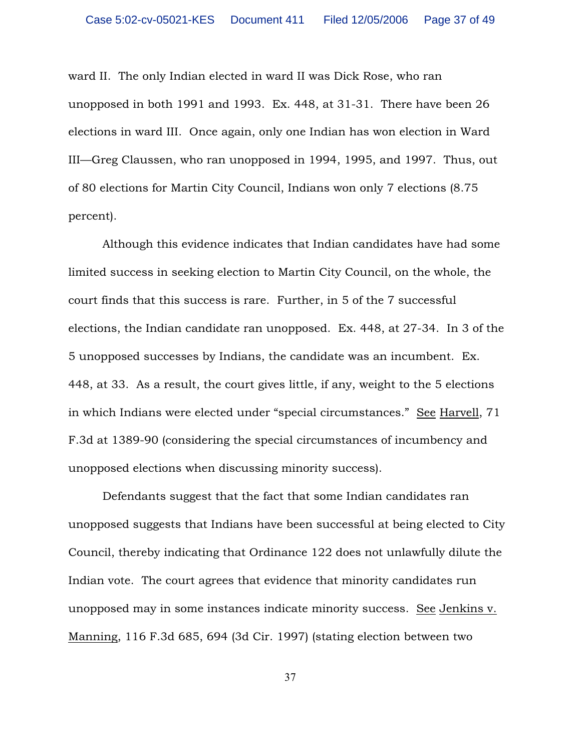ward II. The only Indian elected in ward II was Dick Rose, who ran unopposed in both 1991 and 1993. Ex. 448, at 31-31. There have been 26 elections in ward III. Once again, only one Indian has won election in Ward III—Greg Claussen, who ran unopposed in 1994, 1995, and 1997. Thus, out of 80 elections for Martin City Council, Indians won only 7 elections (8.75 percent).

Although this evidence indicates that Indian candidates have had some limited success in seeking election to Martin City Council, on the whole, the court finds that this success is rare. Further, in 5 of the 7 successful elections, the Indian candidate ran unopposed. Ex. 448, at 27-34. In 3 of the 5 unopposed successes by Indians, the candidate was an incumbent. Ex. 448, at 33. As a result, the court gives little, if any, weight to the 5 elections in which Indians were elected under "special circumstances." See Harvell, 71 F.3d at 1389-90 (considering the special circumstances of incumbency and unopposed elections when discussing minority success).

Defendants suggest that the fact that some Indian candidates ran unopposed suggests that Indians have been successful at being elected to City Council, thereby indicating that Ordinance 122 does not unlawfully dilute the Indian vote. The court agrees that evidence that minority candidates run unopposed may in some instances indicate minority success. See Jenkins v. Manning, 116 F.3d 685, 694 (3d Cir. 1997) (stating election between two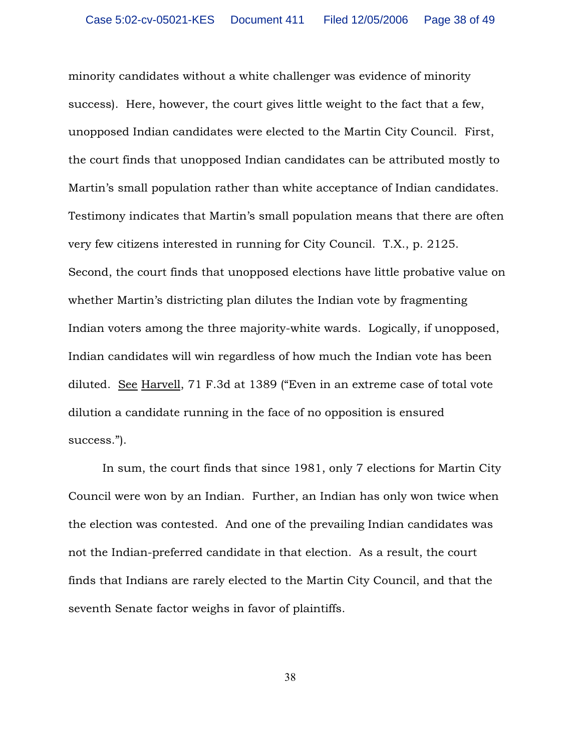minority candidates without a white challenger was evidence of minority success). Here, however, the court gives little weight to the fact that a few, unopposed Indian candidates were elected to the Martin City Council. First, the court finds that unopposed Indian candidates can be attributed mostly to Martin's small population rather than white acceptance of Indian candidates. Testimony indicates that Martin's small population means that there are often very few citizens interested in running for City Council. T.X., p. 2125. Second, the court finds that unopposed elections have little probative value on whether Martin's districting plan dilutes the Indian vote by fragmenting Indian voters among the three majority-white wards. Logically, if unopposed, Indian candidates will win regardless of how much the Indian vote has been diluted. See Harvell, 71 F.3d at 1389 ("Even in an extreme case of total vote dilution a candidate running in the face of no opposition is ensured success.").

In sum, the court finds that since 1981, only 7 elections for Martin City Council were won by an Indian. Further, an Indian has only won twice when the election was contested. And one of the prevailing Indian candidates was not the Indian-preferred candidate in that election. As a result, the court finds that Indians are rarely elected to the Martin City Council, and that the seventh Senate factor weighs in favor of plaintiffs.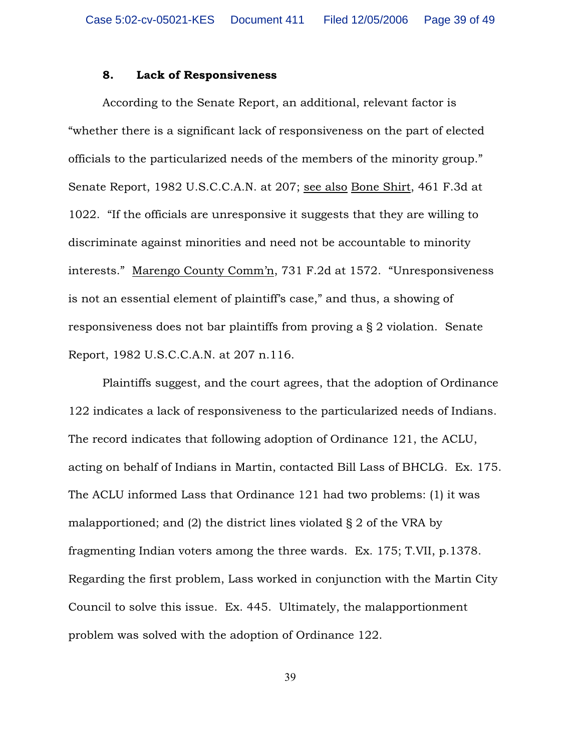#### 8. Lack of Responsiveness

According to the Senate Report, an additional, relevant factor is "whether there is a significant lack of responsiveness on the part of elected officials to the particularized needs of the members of the minority group." Senate Report, 1982 U.S.C.C.A.N. at 207; see also Bone Shirt, 461 F.3d at 1022. "If the officials are unresponsive it suggests that they are willing to discriminate against minorities and need not be accountable to minority interests." Marengo County Comm'n, 731 F.2d at 1572. "Unresponsiveness is not an essential element of plaintiff's case," and thus, a showing of responsiveness does not bar plaintiffs from proving a § 2 violation. Senate Report, 1982 U.S.C.C.A.N. at 207 n.116.

Plaintiffs suggest, and the court agrees, that the adoption of Ordinance 122 indicates a lack of responsiveness to the particularized needs of Indians. The record indicates that following adoption of Ordinance 121, the ACLU, acting on behalf of Indians in Martin, contacted Bill Lass of BHCLG. Ex. 175. The ACLU informed Lass that Ordinance 121 had two problems: (1) it was malapportioned; and (2) the district lines violated § 2 of the VRA by fragmenting Indian voters among the three wards. Ex. 175; T.VII, p.1378. Regarding the first problem, Lass worked in conjunction with the Martin City Council to solve this issue. Ex. 445. Ultimately, the malapportionment problem was solved with the adoption of Ordinance 122.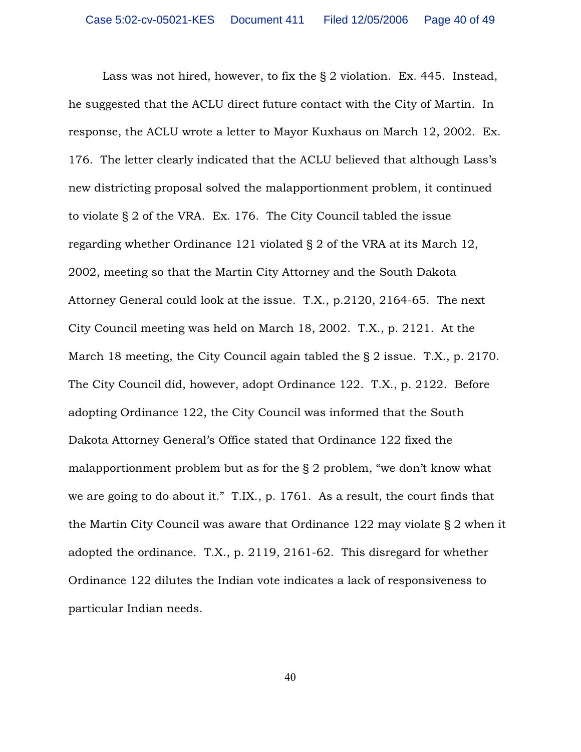Lass was not hired, however, to fix the § 2 violation. Ex. 445. Instead, he suggested that the ACLU direct future contact with the City of Martin. In response, the ACLU wrote a letter to Mayor Kuxhaus on March 12, 2002. Ex. 176. The letter clearly indicated that the ACLU believed that although Lass's new districting proposal solved the malapportionment problem, it continued to violate § 2 of the VRA. Ex. 176. The City Council tabled the issue regarding whether Ordinance 121 violated § 2 of the VRA at its March 12, 2002, meeting so that the Martin City Attorney and the South Dakota Attorney General could look at the issue. T.X., p.2120, 2164-65. The next City Council meeting was held on March 18, 2002. T.X., p. 2121. At the March 18 meeting, the City Council again tabled the § 2 issue. T.X., p. 2170. The City Council did, however, adopt Ordinance 122. T.X., p. 2122. Before adopting Ordinance 122, the City Council was informed that the South Dakota Attorney General's Office stated that Ordinance 122 fixed the malapportionment problem but as for the § 2 problem, "we don't know what we are going to do about it." T.IX., p. 1761. As a result, the court finds that the Martin City Council was aware that Ordinance 122 may violate § 2 when it adopted the ordinance. T.X., p. 2119, 2161-62. This disregard for whether Ordinance 122 dilutes the Indian vote indicates a lack of responsiveness to particular Indian needs.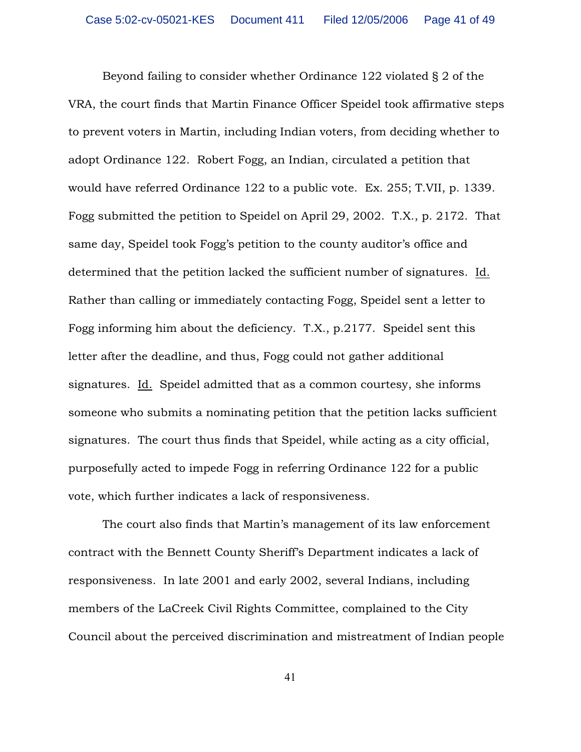Beyond failing to consider whether Ordinance 122 violated § 2 of the VRA, the court finds that Martin Finance Officer Speidel took affirmative steps to prevent voters in Martin, including Indian voters, from deciding whether to adopt Ordinance 122. Robert Fogg, an Indian, circulated a petition that would have referred Ordinance 122 to a public vote. Ex. 255; T.VII, p. 1339. Fogg submitted the petition to Speidel on April 29, 2002. T.X., p. 2172. That same day, Speidel took Fogg's petition to the county auditor's office and determined that the petition lacked the sufficient number of signatures. Id. Rather than calling or immediately contacting Fogg, Speidel sent a letter to Fogg informing him about the deficiency. T.X., p.2177. Speidel sent this letter after the deadline, and thus, Fogg could not gather additional signatures. Id. Speidel admitted that as a common courtesy, she informs someone who submits a nominating petition that the petition lacks sufficient signatures. The court thus finds that Speidel, while acting as a city official, purposefully acted to impede Fogg in referring Ordinance 122 for a public vote, which further indicates a lack of responsiveness.

The court also finds that Martin's management of its law enforcement contract with the Bennett County Sheriff's Department indicates a lack of responsiveness. In late 2001 and early 2002, several Indians, including members of the LaCreek Civil Rights Committee, complained to the City Council about the perceived discrimination and mistreatment of Indian people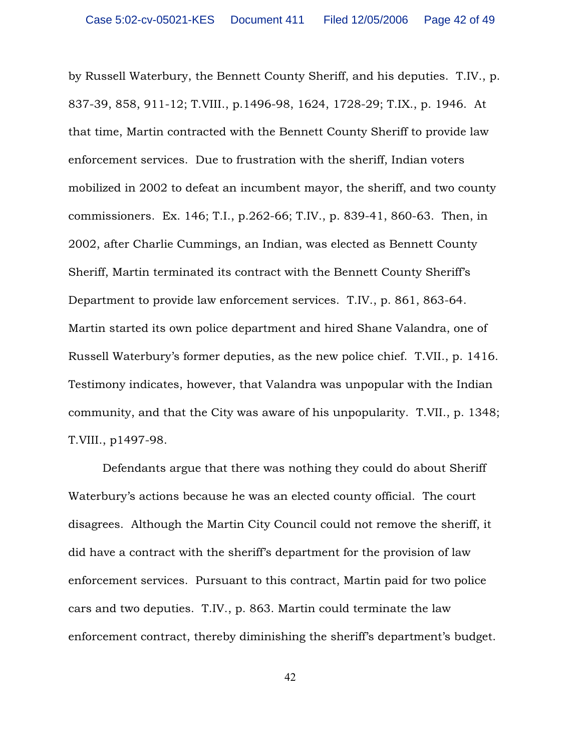by Russell Waterbury, the Bennett County Sheriff, and his deputies. T.IV., p. 837-39, 858, 911-12; T.VIII., p.1496-98, 1624, 1728-29; T.IX., p. 1946. At that time, Martin contracted with the Bennett County Sheriff to provide law enforcement services. Due to frustration with the sheriff, Indian voters mobilized in 2002 to defeat an incumbent mayor, the sheriff, and two county commissioners. Ex. 146; T.I., p.262-66; T.IV., p. 839-41, 860-63. Then, in 2002, after Charlie Cummings, an Indian, was elected as Bennett County Sheriff, Martin terminated its contract with the Bennett County Sheriff's Department to provide law enforcement services. T.IV., p. 861, 863-64. Martin started its own police department and hired Shane Valandra, one of Russell Waterbury's former deputies, as the new police chief. T.VII., p. 1416. Testimony indicates, however, that Valandra was unpopular with the Indian community, and that the City was aware of his unpopularity. T.VII., p. 1348; T.VIII., p1497-98.

Defendants argue that there was nothing they could do about Sheriff Waterbury's actions because he was an elected county official. The court disagrees. Although the Martin City Council could not remove the sheriff, it did have a contract with the sheriff's department for the provision of law enforcement services. Pursuant to this contract, Martin paid for two police cars and two deputies. T.IV., p. 863. Martin could terminate the law enforcement contract, thereby diminishing the sheriff's department's budget.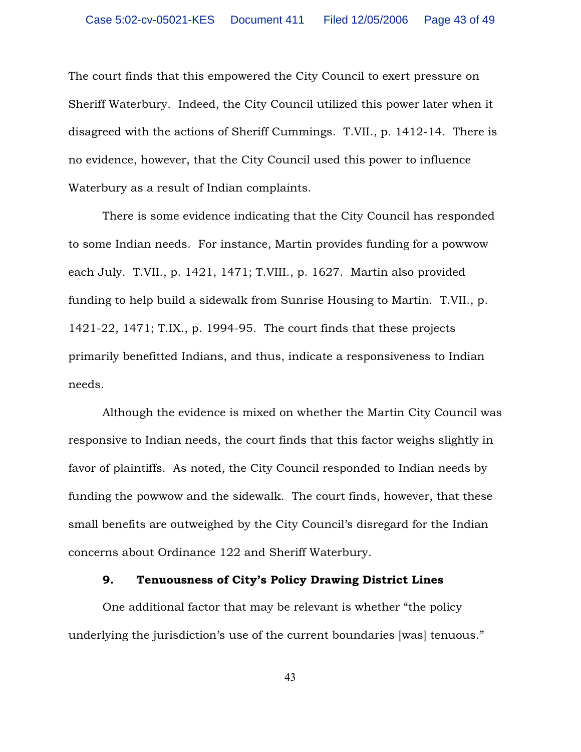The court finds that this empowered the City Council to exert pressure on Sheriff Waterbury. Indeed, the City Council utilized this power later when it disagreed with the actions of Sheriff Cummings. T.VII., p. 1412-14. There is no evidence, however, that the City Council used this power to influence Waterbury as a result of Indian complaints.

There is some evidence indicating that the City Council has responded to some Indian needs. For instance, Martin provides funding for a powwow each July. T.VII., p. 1421, 1471; T.VIII., p. 1627. Martin also provided funding to help build a sidewalk from Sunrise Housing to Martin. T.VII., p. 1421-22, 1471; T.IX., p. 1994-95. The court finds that these projects primarily benefitted Indians, and thus, indicate a responsiveness to Indian needs.

Although the evidence is mixed on whether the Martin City Council was responsive to Indian needs, the court finds that this factor weighs slightly in favor of plaintiffs. As noted, the City Council responded to Indian needs by funding the powwow and the sidewalk. The court finds, however, that these small benefits are outweighed by the City Council's disregard for the Indian concerns about Ordinance 122 and Sheriff Waterbury.

### 9. Tenuousness of City's Policy Drawing District Lines

One additional factor that may be relevant is whether "the policy underlying the jurisdiction's use of the current boundaries [was] tenuous."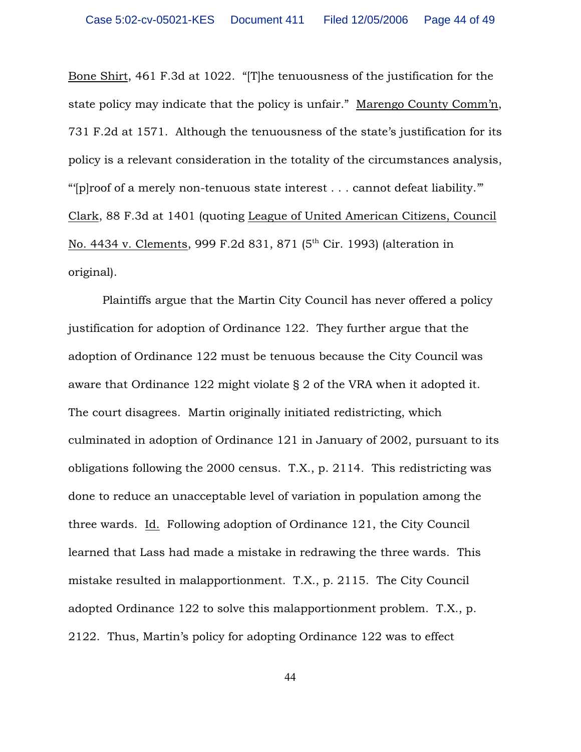Bone Shirt, 461 F.3d at 1022. "[T]he tenuousness of the justification for the state policy may indicate that the policy is unfair." Marengo County Comm'n, 731 F.2d at 1571. Although the tenuousness of the state's justification for its policy is a relevant consideration in the totality of the circumstances analysis, "'[p]roof of a merely non-tenuous state interest . . . cannot defeat liability.'" Clark, 88 F.3d at 1401 (quoting League of United American Citizens, Council No. 4434 v. Clements, 999 F.2d 831, 871 (5<sup>th</sup> Cir. 1993) (alteration in original).

Plaintiffs argue that the Martin City Council has never offered a policy justification for adoption of Ordinance 122. They further argue that the adoption of Ordinance 122 must be tenuous because the City Council was aware that Ordinance 122 might violate § 2 of the VRA when it adopted it. The court disagrees. Martin originally initiated redistricting, which culminated in adoption of Ordinance 121 in January of 2002, pursuant to its obligations following the 2000 census. T.X., p. 2114. This redistricting was done to reduce an unacceptable level of variation in population among the three wards. Id. Following adoption of Ordinance 121, the City Council learned that Lass had made a mistake in redrawing the three wards. This mistake resulted in malapportionment. T.X., p. 2115. The City Council adopted Ordinance 122 to solve this malapportionment problem. T.X., p. 2122. Thus, Martin's policy for adopting Ordinance 122 was to effect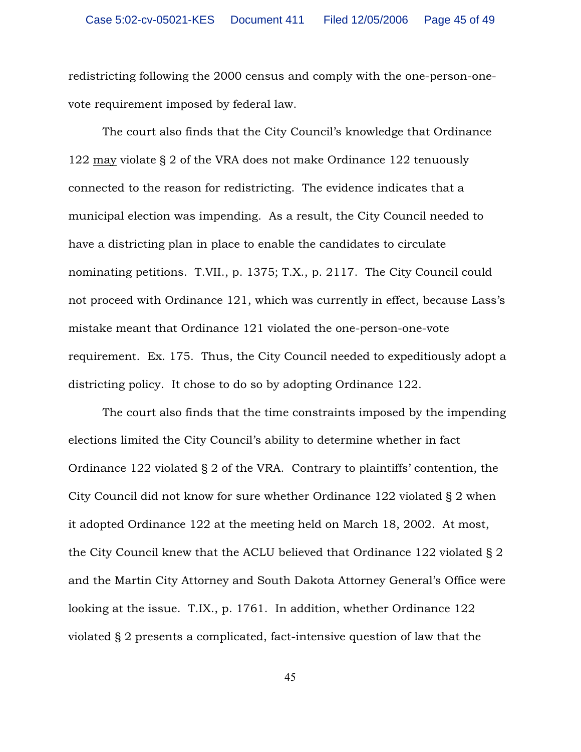redistricting following the 2000 census and comply with the one-person-onevote requirement imposed by federal law.

The court also finds that the City Council's knowledge that Ordinance 122 may violate § 2 of the VRA does not make Ordinance 122 tenuously connected to the reason for redistricting. The evidence indicates that a municipal election was impending. As a result, the City Council needed to have a districting plan in place to enable the candidates to circulate nominating petitions. T.VII., p. 1375; T.X., p. 2117. The City Council could not proceed with Ordinance 121, which was currently in effect, because Lass's mistake meant that Ordinance 121 violated the one-person-one-vote requirement. Ex. 175. Thus, the City Council needed to expeditiously adopt a districting policy. It chose to do so by adopting Ordinance 122.

The court also finds that the time constraints imposed by the impending elections limited the City Council's ability to determine whether in fact Ordinance 122 violated § 2 of the VRA. Contrary to plaintiffs' contention, the City Council did not know for sure whether Ordinance 122 violated § 2 when it adopted Ordinance 122 at the meeting held on March 18, 2002. At most, the City Council knew that the ACLU believed that Ordinance 122 violated § 2 and the Martin City Attorney and South Dakota Attorney General's Office were looking at the issue. T.IX., p. 1761. In addition, whether Ordinance 122 violated § 2 presents a complicated, fact-intensive question of law that the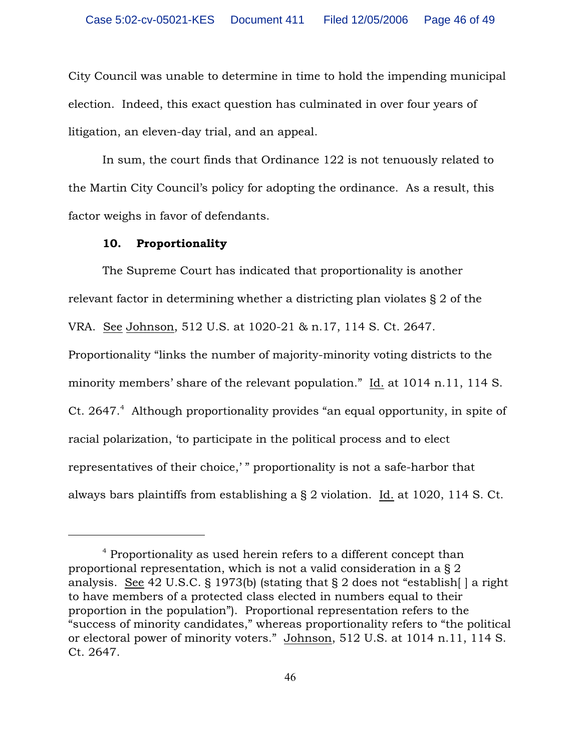City Council was unable to determine in time to hold the impending municipal election. Indeed, this exact question has culminated in over four years of litigation, an eleven-day trial, and an appeal.

In sum, the court finds that Ordinance 122 is not tenuously related to the Martin City Council's policy for adopting the ordinance. As a result, this factor weighs in favor of defendants.

#### 10. Proportionality

The Supreme Court has indicated that proportionality is another relevant factor in determining whether a districting plan violates § 2 of the VRA. See Johnson, 512 U.S. at 1020-21 & n.17, 114 S. Ct. 2647.

Proportionality "links the number of majority-minority voting districts to the minority members' share of the relevant population." Id. at 1014 n.11, 114 S. Ct. 2647.<sup>4</sup> Although proportionality provides "an equal opportunity, in spite of racial polarization, 'to participate in the political process and to elect representatives of their choice,' " proportionality is not a safe-harbor that always bars plaintiffs from establishing a § 2 violation. Id. at 1020, 114 S. Ct.

 $4$  Proportionality as used herein refers to a different concept than proportional representation, which is not a valid consideration in a § 2 analysis. See 42 U.S.C. § 1973(b) (stating that § 2 does not "establish[ ] a right to have members of a protected class elected in numbers equal to their proportion in the population"). Proportional representation refers to the "success of minority candidates," whereas proportionality refers to "the political or electoral power of minority voters." Johnson, 512 U.S. at 1014 n.11, 114 S. Ct. 2647.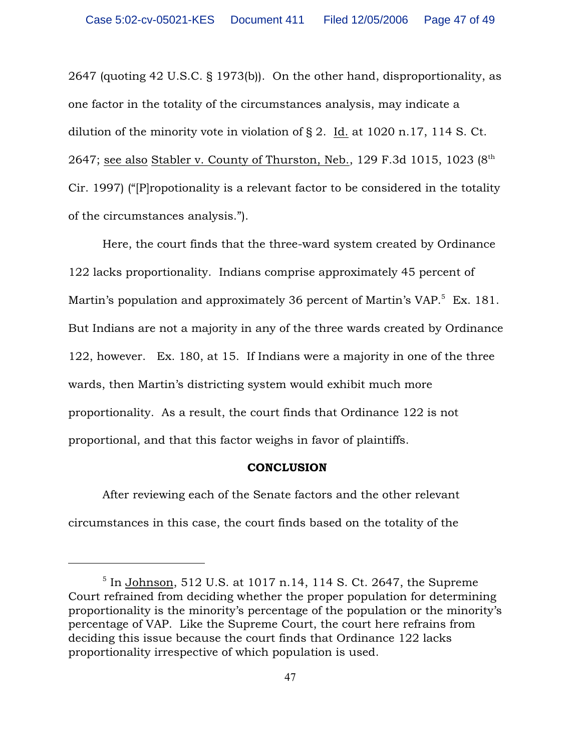2647 (quoting 42 U.S.C. § 1973(b)). On the other hand, disproportionality, as one factor in the totality of the circumstances analysis, may indicate a dilution of the minority vote in violation of § 2. Id. at 1020 n.17, 114 S. Ct. 2647; see also Stabler v. County of Thurston, Neb., 129 F.3d 1015, 1023  $(8<sup>th</sup>$ Cir. 1997) ("[P]ropotionality is a relevant factor to be considered in the totality of the circumstances analysis.").

Here, the court finds that the three-ward system created by Ordinance 122 lacks proportionality. Indians comprise approximately 45 percent of Martin's population and approximately 36 percent of Martin's  $VAP$ <sup>5</sup> Ex. 181. But Indians are not a majority in any of the three wards created by Ordinance 122, however. Ex. 180, at 15. If Indians were a majority in one of the three wards, then Martin's districting system would exhibit much more proportionality. As a result, the court finds that Ordinance 122 is not proportional, and that this factor weighs in favor of plaintiffs.

#### **CONCLUSION**

After reviewing each of the Senate factors and the other relevant circumstances in this case, the court finds based on the totality of the

 $5$  In Johnson, 512 U.S. at 1017 n.14, 114 S. Ct. 2647, the Supreme Court refrained from deciding whether the proper population for determining proportionality is the minority's percentage of the population or the minority's percentage of VAP. Like the Supreme Court, the court here refrains from deciding this issue because the court finds that Ordinance 122 lacks proportionality irrespective of which population is used.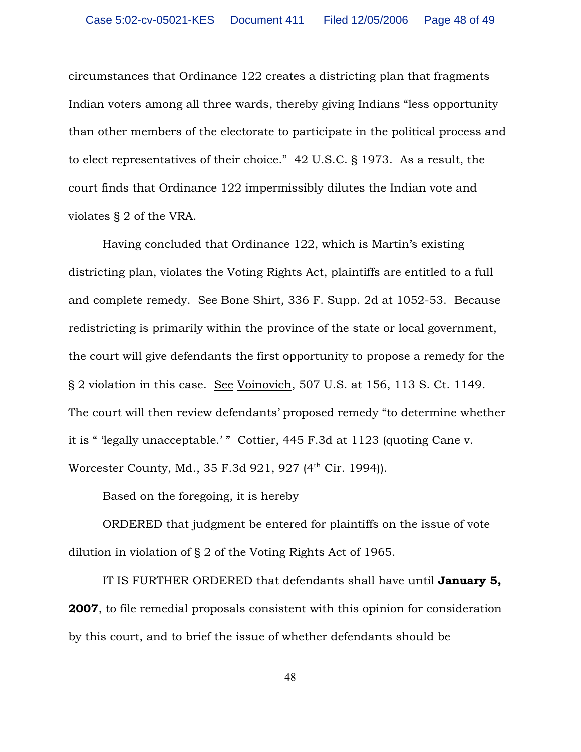circumstances that Ordinance 122 creates a districting plan that fragments Indian voters among all three wards, thereby giving Indians "less opportunity than other members of the electorate to participate in the political process and to elect representatives of their choice." 42 U.S.C. § 1973. As a result, the court finds that Ordinance 122 impermissibly dilutes the Indian vote and violates § 2 of the VRA.

Having concluded that Ordinance 122, which is Martin's existing districting plan, violates the Voting Rights Act, plaintiffs are entitled to a full and complete remedy. See Bone Shirt, 336 F. Supp. 2d at 1052-53. Because redistricting is primarily within the province of the state or local government, the court will give defendants the first opportunity to propose a remedy for the § 2 violation in this case. See Voinovich, 507 U.S. at 156, 113 S. Ct. 1149. The court will then review defendants' proposed remedy "to determine whether it is " 'legally unacceptable.' " Cottier, 445 F.3d at 1123 (quoting Cane v. Worcester County, Md., 35 F.3d 921, 927 (4<sup>th</sup> Cir. 1994)).

Based on the foregoing, it is hereby

ORDERED that judgment be entered for plaintiffs on the issue of vote dilution in violation of § 2 of the Voting Rights Act of 1965.

IT IS FURTHER ORDERED that defendants shall have until January 5, 2007, to file remedial proposals consistent with this opinion for consideration by this court, and to brief the issue of whether defendants should be